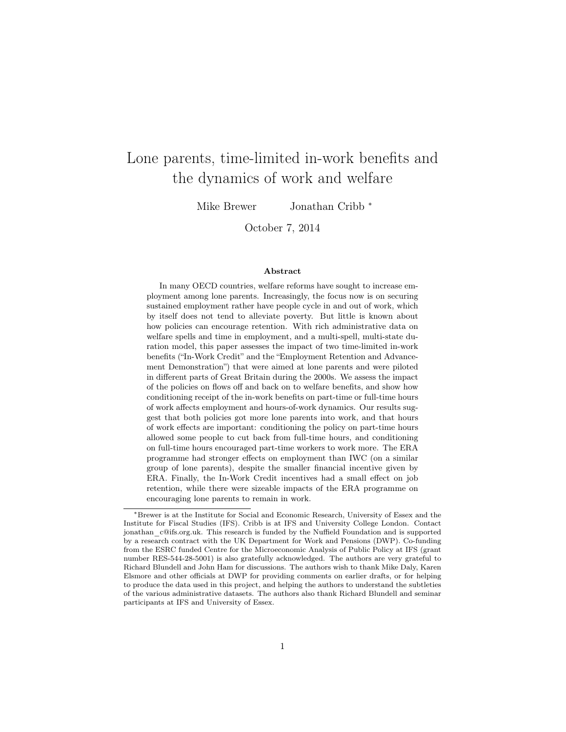# Lone parents, time-limited in-work benefits and the dynamics of work and welfare

Mike Brewer Jonathan Cribb <sup>\*</sup>

October 7, 2014

#### Abstract

In many OECD countries, welfare reforms have sought to increase employment among lone parents. Increasingly, the focus now is on securing sustained employment rather have people cycle in and out of work, which by itself does not tend to alleviate poverty. But little is known about how policies can encourage retention. With rich administrative data on welfare spells and time in employment, and a multi-spell, multi-state duration model, this paper assesses the impact of two time-limited in-work benefits ("In-Work Credit" and the "Employment Retention and Advancement Demonstration") that were aimed at lone parents and were piloted in different parts of Great Britain during the 2000s. We assess the impact of the policies on flows off and back on to welfare benefits, and show how conditioning receipt of the in-work benefits on part-time or full-time hours of work affects employment and hours-of-work dynamics. Our results suggest that both policies got more lone parents into work, and that hours of work effects are important: conditioning the policy on part-time hours allowed some people to cut back from full-time hours, and conditioning on full-time hours encouraged part-time workers to work more. The ERA programme had stronger effects on employment than IWC (on a similar group of lone parents), despite the smaller financial incentive given by ERA. Finally, the In-Work Credit incentives had a small effect on job retention, while there were sizeable impacts of the ERA programme on encouraging lone parents to remain in work.

<sup>∗</sup>Brewer is at the Institute for Social and Economic Research, University of Essex and the Institute for Fiscal Studies (IFS). Cribb is at IFS and University College London. Contact jonathan\_c@ifs.org.uk. This research is funded by the Nuffield Foundation and is supported by a research contract with the UK Department for Work and Pensions (DWP). Co-funding from the ESRC funded Centre for the Microeconomic Analysis of Public Policy at IFS (grant number RES-544-28-5001) is also gratefully acknowledged. The authors are very grateful to Richard Blundell and John Ham for discussions. The authors wish to thank Mike Daly, Karen Elsmore and other officials at DWP for providing comments on earlier drafts, or for helping to produce the data used in this project, and helping the authors to understand the subtleties of the various administrative datasets. The authors also thank Richard Blundell and seminar participants at IFS and University of Essex.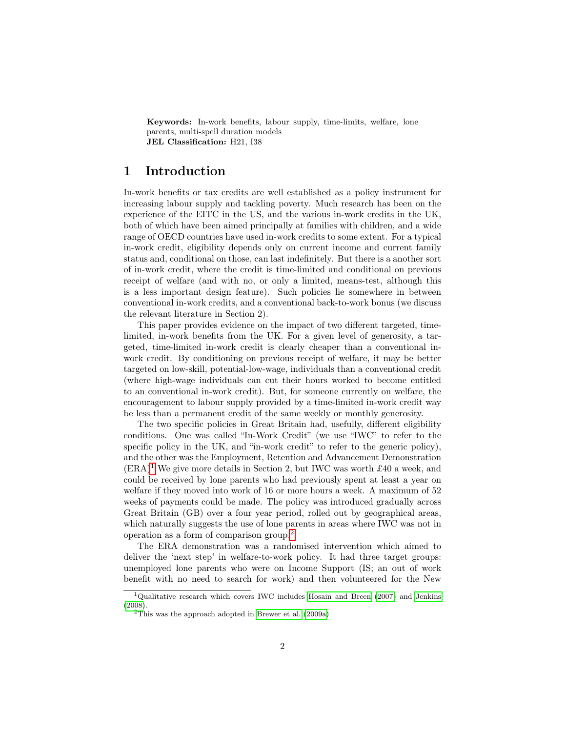Keywords: In-work benefits, labour supply, time-limits, welfare, lone parents, multi-spell duration models JEL Classification: H21, I38

### 1 Introduction

In-work benefits or tax credits are well established as a policy instrument for increasing labour supply and tackling poverty. Much research has been on the experience of the EITC in the US, and the various in-work credits in the UK, both of which have been aimed principally at families with children, and a wide range of OECD countries have used in-work credits to some extent. For a typical in-work credit, eligibility depends only on current income and current family status and, conditional on those, can last indefinitely. But there is a another sort of in-work credit, where the credit is time-limited and conditional on previous receipt of welfare (and with no, or only a limited, means-test, although this is a less important design feature). Such policies lie somewhere in between conventional in-work credits, and a conventional back-to-work bonus (we discuss the relevant literature in Section 2).

This paper provides evidence on the impact of two different targeted, timelimited, in-work benefits from the UK. For a given level of generosity, a targeted, time-limited in-work credit is clearly cheaper than a conventional inwork credit. By conditioning on previous receipt of welfare, it may be better targeted on low-skill, potential-low-wage, individuals than a conventional credit (where high-wage individuals can cut their hours worked to become entitled to an conventional in-work credit). But, for someone currently on welfare, the encouragement to labour supply provided by a time-limited in-work credit way be less than a permanent credit of the same weekly or monthly generosity.

The two specific policies in Great Britain had, usefully, different eligibility conditions. One was called "In-Work Credit" (we use "IWC" to refer to the specific policy in the UK, and "in-work credit" to refer to the generic policy), and the other was the Employment, Retention and Advancement Demonstration  $(ERA)^1$  $(ERA)^1$  We give more details in Section 2, but IWC was worth £40 a week, and could be received by lone parents who had previously spent at least a year on welfare if they moved into work of 16 or more hours a week. A maximum of 52 weeks of payments could be made. The policy was introduced gradually across Great Britain (GB) over a four year period, rolled out by geographical areas, which naturally suggests the use of lone parents in areas where IWC was not in operation as a form of comparison group.[2](#page-1-1)

The ERA demonstration was a randomised intervention which aimed to deliver the 'next step' in welfare-to-work policy. It had three target groups: unemployed lone parents who were on Income Support (IS; an out of work benefit with no need to search for work) and then volunteered for the New

<span id="page-1-0"></span><sup>&</sup>lt;sup>1</sup>Qualitative research which covers IWC includes [Hosain and Breen](#page-23-0) [\(2007\)](#page-23-0) and [Jenkins](#page-23-1) [\(2008\)](#page-23-1).

<span id="page-1-1"></span> $2$ This was the approach adopted in [Brewer et al.](#page-22-0) [\(2009a\)](#page-22-0)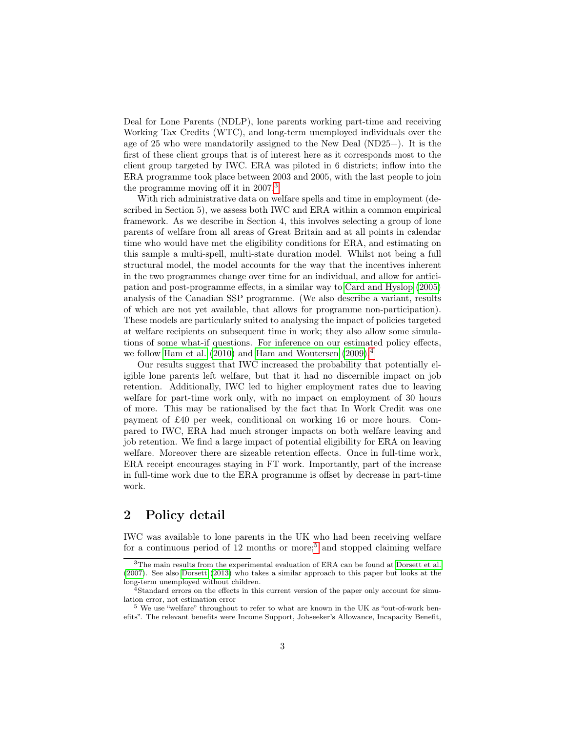Deal for Lone Parents (NDLP), lone parents working part-time and receiving Working Tax Credits (WTC), and long-term unemployed individuals over the age of 25 who were mandatorily assigned to the New Deal  $(ND25+)$ . It is the first of these client groups that is of interest here as it corresponds most to the client group targeted by IWC. ERA was piloted in 6 districts; inflow into the ERA programme took place between 2003 and 2005, with the last people to join the programme moving off it in  $2007<sup>3</sup>$  $2007<sup>3</sup>$  $2007<sup>3</sup>$ 

With rich administrative data on welfare spells and time in employment (described in Section 5), we assess both IWC and ERA within a common empirical framework. As we describe in Section 4, this involves selecting a group of lone parents of welfare from all areas of Great Britain and at all points in calendar time who would have met the eligibility conditions for ERA, and estimating on this sample a multi-spell, multi-state duration model. Whilst not being a full structural model, the model accounts for the way that the incentives inherent in the two programmes change over time for an individual, and allow for anticipation and post-programme effects, in a similar way to [Card and Hyslop](#page-22-1) [\(2005\)](#page-22-1) analysis of the Canadian SSP programme. (We also describe a variant, results of which are not yet available, that allows for programme non-participation). These models are particularly suited to analysing the impact of policies targeted at welfare recipients on subsequent time in work; they also allow some simulations of some what-if questions. For inference on our estimated policy effects, we follow [Ham et al.](#page-23-2) [\(2010\)](#page-23-2) and [Ham and Woutersen](#page-23-3) [\(2009\)](#page-23-3).<sup>[4](#page-2-1)</sup>

Our results suggest that IWC increased the probability that potentially eligible lone parents left welfare, but that it had no discernible impact on job retention. Additionally, IWC led to higher employment rates due to leaving welfare for part-time work only, with no impact on employment of 30 hours of more. This may be rationalised by the fact that In Work Credit was one payment of £40 per week, conditional on working 16 or more hours. Compared to IWC, ERA had much stronger impacts on both welfare leaving and job retention. We find a large impact of potential eligibility for ERA on leaving welfare. Moreover there are sizeable retention effects. Once in full-time work, ERA receipt encourages staying in FT work. Importantly, part of the increase in full-time work due to the ERA programme is offset by decrease in part-time work.

# 2 Policy detail

IWC was available to lone parents in the UK who had been receiving welfare for a continuous period of 12 months or more;<sup>[5](#page-2-2)</sup> and stopped claiming welfare

<span id="page-2-0"></span><sup>3</sup>The main results from the experimental evaluation of ERA can be found at [Dorsett et al.](#page-23-4) [\(2007\)](#page-23-4). See also [Dorsett](#page-22-2) [\(2013\)](#page-22-2) who takes a similar approach to this paper but looks at the long-term unemployed without children.

<span id="page-2-1"></span><sup>&</sup>lt;sup>4</sup>Standard errors on the effects in this current version of the paper only account for simulation error, not estimation error

<span id="page-2-2"></span><sup>5</sup> We use "welfare" throughout to refer to what are known in the UK as "out-of-work benefits". The relevant benefits were Income Support, Jobseeker's Allowance, Incapacity Benefit,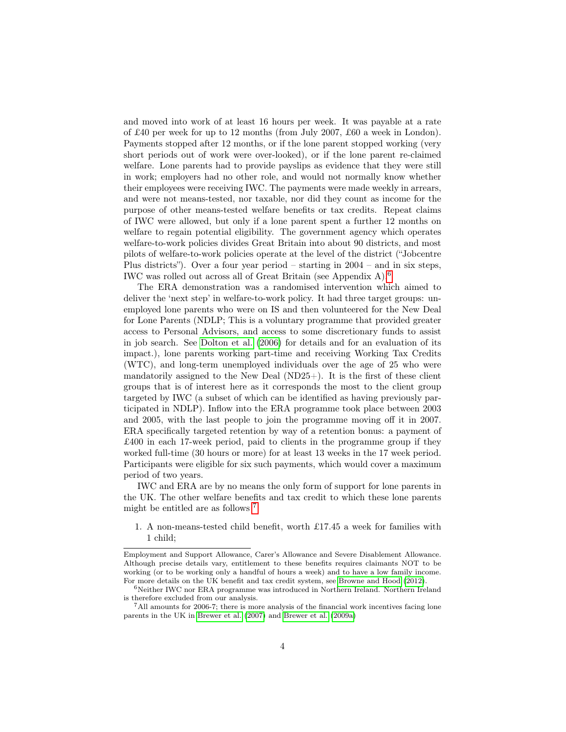and moved into work of at least 16 hours per week. It was payable at a rate of £40 per week for up to 12 months (from July 2007, £60 a week in London). Payments stopped after 12 months, or if the lone parent stopped working (very short periods out of work were over-looked), or if the lone parent re-claimed welfare. Lone parents had to provide payslips as evidence that they were still in work; employers had no other role, and would not normally know whether their employees were receiving IWC. The payments were made weekly in arrears, and were not means-tested, nor taxable, nor did they count as income for the purpose of other means-tested welfare benefits or tax credits. Repeat claims of IWC were allowed, but only if a lone parent spent a further 12 months on welfare to regain potential eligibility. The government agency which operates welfare-to-work policies divides Great Britain into about 90 districts, and most pilots of welfare-to-work policies operate at the level of the district ("Jobcentre Plus districts"). Over a four year period – starting in  $2004$  – and in six steps, IWC was rolled out across all of Great Britain (see Appendix A).[6](#page-3-0)

The ERA demonstration was a randomised intervention which aimed to deliver the 'next step' in welfare-to-work policy. It had three target groups: unemployed lone parents who were on IS and then volunteered for the New Deal for Lone Parents (NDLP; This is a voluntary programme that provided greater access to Personal Advisors, and access to some discretionary funds to assist in job search. See [Dolton et al.](#page-22-3) [\(2006\)](#page-22-3) for details and for an evaluation of its impact.), lone parents working part-time and receiving Working Tax Credits (WTC), and long-term unemployed individuals over the age of 25 who were mandatorily assigned to the New Deal (ND25+). It is the first of these client groups that is of interest here as it corresponds the most to the client group targeted by IWC (a subset of which can be identified as having previously participated in NDLP). Inflow into the ERA programme took place between 2003 and 2005, with the last people to join the programme moving off it in 2007. ERA specifically targeted retention by way of a retention bonus: a payment of £400 in each 17-week period, paid to clients in the programme group if they worked full-time (30 hours or more) for at least 13 weeks in the 17 week period. Participants were eligible for six such payments, which would cover a maximum period of two years.

IWC and ERA are by no means the only form of support for lone parents in the UK. The other welfare benefits and tax credit to which these lone parents might be entitled are as follows<sup>[7](#page-3-1)</sup>:

1. A non-means-tested child benefit, worth £17.45 a week for families with 1 child;

Employment and Support Allowance, Carer's Allowance and Severe Disablement Allowance. Although precise details vary, entitlement to these benefits requires claimants NOT to be working (or to be working only a handful of hours a week) and to have a low family income. For more details on the UK benefit and tax credit system, see [Browne and Hood](#page-22-4) [\(2012\)](#page-22-4).

<span id="page-3-0"></span> $^6\rm{Neither}$  IWC nor ERA programme was introduced in Northern Ireland. Northern Ireland is therefore excluded from our analysis.

<span id="page-3-1"></span><sup>7</sup>All amounts for 2006-7; there is more analysis of the financial work incentives facing lone parents in the UK in [Brewer et al.](#page-22-5) [\(2007\)](#page-22-5) and [Brewer et al.](#page-22-0) [\(2009a\)](#page-22-0)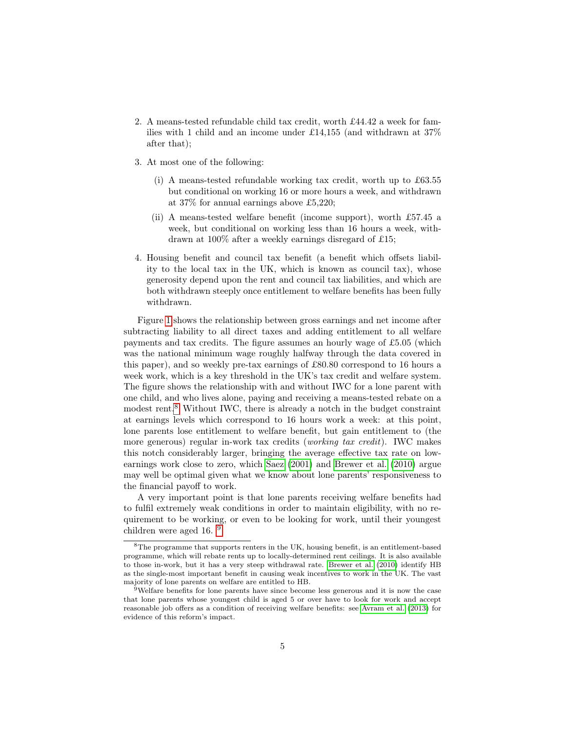- 2. A means-tested refundable child tax credit, worth £44.42 a week for families with 1 child and an income under £14,155 (and withdrawn at 37% after that);
- 3. At most one of the following:
	- (i) A means-tested refundable working tax credit, worth up to £63.55 but conditional on working 16 or more hours a week, and withdrawn at 37% for annual earnings above £5,220;
	- (ii) A means-tested welfare benefit (income support), worth £57.45 a week, but conditional on working less than 16 hours a week, withdrawn at 100% after a weekly earnings disregard of £15;
- 4. Housing benefit and council tax benefit (a benefit which offsets liability to the local tax in the UK, which is known as council tax), whose generosity depend upon the rent and council tax liabilities, and which are both withdrawn steeply once entitlement to welfare benefits has been fully withdrawn.

Figure [1](#page-5-0) shows the relationship between gross earnings and net income after subtracting liability to all direct taxes and adding entitlement to all welfare payments and tax credits. The figure assumes an hourly wage of £5.05 (which was the national minimum wage roughly halfway through the data covered in this paper), and so weekly pre-tax earnings of £80.80 correspond to 16 hours a week work, which is a key threshold in the UK's tax credit and welfare system. The figure shows the relationship with and without IWC for a lone parent with one child, and who lives alone, paying and receiving a means-tested rebate on a modest rent.<sup>[8](#page-4-0)</sup> Without IWC, there is already a notch in the budget constraint at earnings levels which correspond to 16 hours work a week: at this point, lone parents lose entitlement to welfare benefit, but gain entitlement to (the more generous) regular in-work tax credits (working tax credit). IWC makes this notch considerably larger, bringing the average effective tax rate on lowearnings work close to zero, which [Saez](#page-23-5) [\(2001\)](#page-23-5) and [Brewer et al.](#page-22-6) [\(2010\)](#page-22-6) argue may well be optimal given what we know about lone parents' responsiveness to the financial payoff to work.

A very important point is that lone parents receiving welfare benefits had to fulfil extremely weak conditions in order to maintain eligibility, with no requirement to be working, or even to be looking for work, until their youngest children were aged 16. <sup>[9](#page-4-1)</sup>

<span id="page-4-0"></span><sup>8</sup>The programme that supports renters in the UK, housing benefit, is an entitlement-based programme, which will rebate rents up to locally-determined rent ceilings. It is also available to those in-work, but it has a very steep withdrawal rate. [Brewer et al.](#page-22-6) [\(2010\)](#page-22-6) identify HB as the single-most important benefit in causing weak incentives to work in the UK. The vast majority of lone parents on welfare are entitled to HB.

<span id="page-4-1"></span><sup>9</sup>Welfare benefits for lone parents have since become less generous and it is now the case that lone parents whose youngest child is aged 5 or over have to look for work and accept reasonable job offers as a condition of receiving welfare benefits: see [Avram et al.](#page-22-7) [\(2013\)](#page-22-7) for evidence of this reform's impact.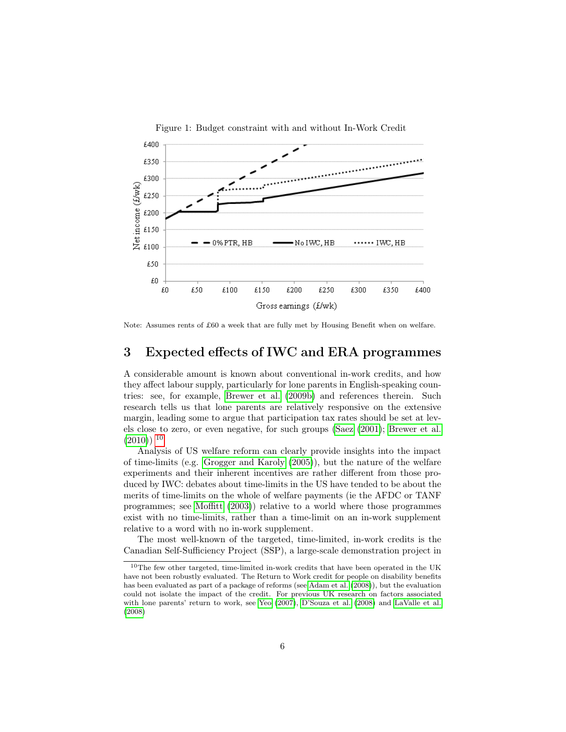<span id="page-5-0"></span>

Note: Assumes rents of £60 a week that are fully met by Housing Benefit when on welfare.

# 3 Expected effects of IWC and ERA programmes

A considerable amount is known about conventional in-work credits, and how they affect labour supply, particularly for lone parents in English-speaking countries: see, for example, [Brewer et al.](#page-22-8) [\(2009b\)](#page-22-8) and references therein. Such research tells us that lone parents are relatively responsive on the extensive margin, leading some to argue that participation tax rates should be set at levels close to zero, or even negative, for such groups [\(Saez](#page-23-5) [\(2001\)](#page-23-5); [Brewer et al.](#page-22-6)  $(2010)$ <sup>[10](#page-5-1)</sup>

Analysis of US welfare reform can clearly provide insights into the impact of time-limits (e.g. [Grogger and Karoly](#page-23-6) [\(2005\)](#page-23-6)), but the nature of the welfare experiments and their inherent incentives are rather different from those produced by IWC: debates about time-limits in the US have tended to be about the merits of time-limits on the whole of welfare payments (ie the AFDC or TANF programmes; see [Moffitt](#page-23-7) [\(2003\)](#page-23-7)) relative to a world where those programmes exist with no time-limits, rather than a time-limit on an in-work supplement relative to a word with no in-work supplement.

The most well-known of the targeted, time-limited, in-work credits is the Canadian Self-Sufficiency Project (SSP), a large-scale demonstration project in

<span id="page-5-1"></span> $10$ The few other targeted, time-limited in-work credits that have been operated in the UK have not been robustly evaluated. The Return to Work credit for people on disability benefits has been evaluated as part of a package of reforms (see [Adam et al.](#page-22-9) [\(2008\)](#page-22-9)), but the evaluation could not isolate the impact of the credit. For previous UK research on factors associated with lone parents' return to work, see [Yeo](#page-23-8) [\(2007\)](#page-23-8), [D'Souza et al.](#page-23-9) [\(2008\)](#page-23-9) and [LaValle et al.](#page-23-10) [\(2008\)](#page-23-10)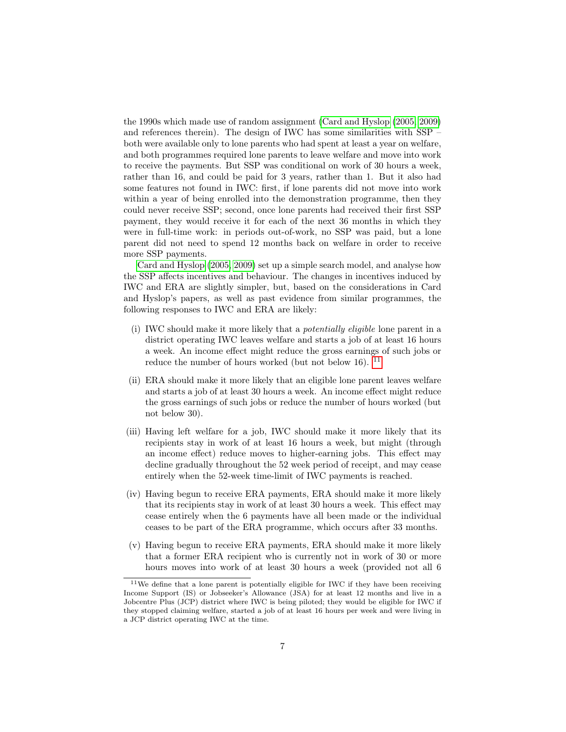the 1990s which made use of random assignment [\(Card and Hyslop](#page-22-1) [\(2005,](#page-22-1) [2009\)](#page-22-10) and references therein). The design of IWC has some similarities with SSP – both were available only to lone parents who had spent at least a year on welfare, and both programmes required lone parents to leave welfare and move into work to receive the payments. But SSP was conditional on work of 30 hours a week, rather than 16, and could be paid for 3 years, rather than 1. But it also had some features not found in IWC: first, if lone parents did not move into work within a year of being enrolled into the demonstration programme, then they could never receive SSP; second, once lone parents had received their first SSP payment, they would receive it for each of the next 36 months in which they were in full-time work: in periods out-of-work, no SSP was paid, but a lone parent did not need to spend 12 months back on welfare in order to receive more SSP payments.

[Card and Hyslop](#page-22-1) [\(2005,](#page-22-1) [2009\)](#page-22-10) set up a simple search model, and analyse how the SSP affects incentives and behaviour. The changes in incentives induced by IWC and ERA are slightly simpler, but, based on the considerations in Card and Hyslop's papers, as well as past evidence from similar programmes, the following responses to IWC and ERA are likely:

- (i) IWC should make it more likely that a potentially eligible lone parent in a district operating IWC leaves welfare and starts a job of at least 16 hours a week. An income effect might reduce the gross earnings of such jobs or reduce the number of hours worked (but not below 16).  $^{11}$  $^{11}$  $^{11}$
- (ii) ERA should make it more likely that an eligible lone parent leaves welfare and starts a job of at least 30 hours a week. An income effect might reduce the gross earnings of such jobs or reduce the number of hours worked (but not below 30).
- (iii) Having left welfare for a job, IWC should make it more likely that its recipients stay in work of at least 16 hours a week, but might (through an income effect) reduce moves to higher-earning jobs. This effect may decline gradually throughout the 52 week period of receipt, and may cease entirely when the 52-week time-limit of IWC payments is reached.
- (iv) Having begun to receive ERA payments, ERA should make it more likely that its recipients stay in work of at least 30 hours a week. This effect may cease entirely when the 6 payments have all been made or the individual ceases to be part of the ERA programme, which occurs after 33 months.
- (v) Having begun to receive ERA payments, ERA should make it more likely that a former ERA recipient who is currently not in work of 30 or more hours moves into work of at least 30 hours a week (provided not all 6

<span id="page-6-0"></span><sup>11</sup>We define that a lone parent is potentially eligible for IWC if they have been receiving Income Support (IS) or Jobseeker's Allowance (JSA) for at least 12 months and live in a Jobcentre Plus (JCP) district where IWC is being piloted; they would be eligible for IWC if they stopped claiming welfare, started a job of at least 16 hours per week and were living in a JCP district operating IWC at the time.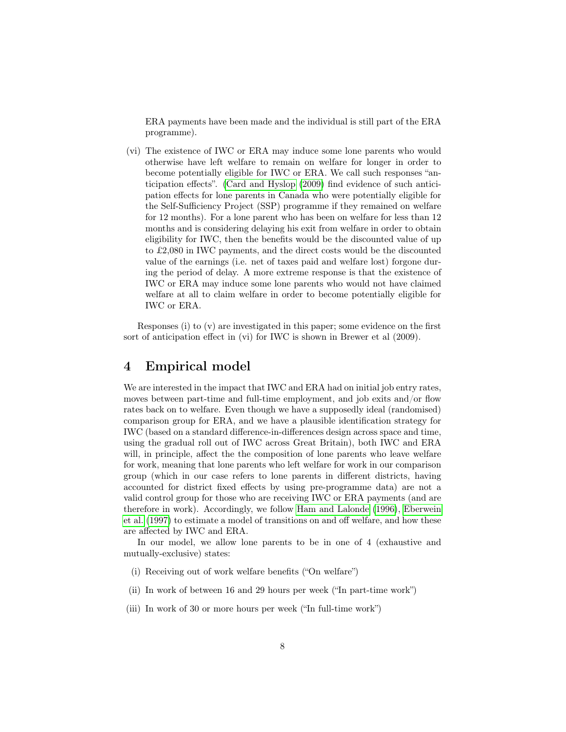ERA payments have been made and the individual is still part of the ERA programme).

(vi) The existence of IWC or ERA may induce some lone parents who would otherwise have left welfare to remain on welfare for longer in order to become potentially eligible for IWC or ERA. We call such responses "anticipation effects". [\(Card and Hyslop](#page-22-10) [\(2009\)](#page-22-10) find evidence of such anticipation effects for lone parents in Canada who were potentially eligible for the Self-Sufficiency Project (SSP) programme if they remained on welfare for 12 months). For a lone parent who has been on welfare for less than 12 months and is considering delaying his exit from welfare in order to obtain eligibility for IWC, then the benefits would be the discounted value of up to £2,080 in IWC payments, and the direct costs would be the discounted value of the earnings (i.e. net of taxes paid and welfare lost) forgone during the period of delay. A more extreme response is that the existence of IWC or ERA may induce some lone parents who would not have claimed welfare at all to claim welfare in order to become potentially eligible for IWC or ERA.

Responses (i) to (v) are investigated in this paper; some evidence on the first sort of anticipation effect in (vi) for IWC is shown in Brewer et al (2009).

# 4 Empirical model

We are interested in the impact that IWC and ERA had on initial job entry rates, moves between part-time and full-time employment, and job exits and/or flow rates back on to welfare. Even though we have a supposedly ideal (randomised) comparison group for ERA, and we have a plausible identification strategy for IWC (based on a standard difference-in-differences design across space and time, using the gradual roll out of IWC across Great Britain), both IWC and ERA will, in principle, affect the the composition of lone parents who leave welfare for work, meaning that lone parents who left welfare for work in our comparison group (which in our case refers to lone parents in different districts, having accounted for district fixed effects by using pre-programme data) are not a valid control group for those who are receiving IWC or ERA payments (and are therefore in work). Accordingly, we follow [Ham and Lalonde](#page-23-11) [\(1996\)](#page-23-11), [Eberwein](#page-23-12) [et al.](#page-23-12) [\(1997\)](#page-23-12) to estimate a model of transitions on and off welfare, and how these are affected by IWC and ERA.

In our model, we allow lone parents to be in one of 4 (exhaustive and mutually-exclusive) states:

- (i) Receiving out of work welfare benefits ("On welfare")
- (ii) In work of between 16 and 29 hours per week ("In part-time work")
- (iii) In work of 30 or more hours per week ("In full-time work")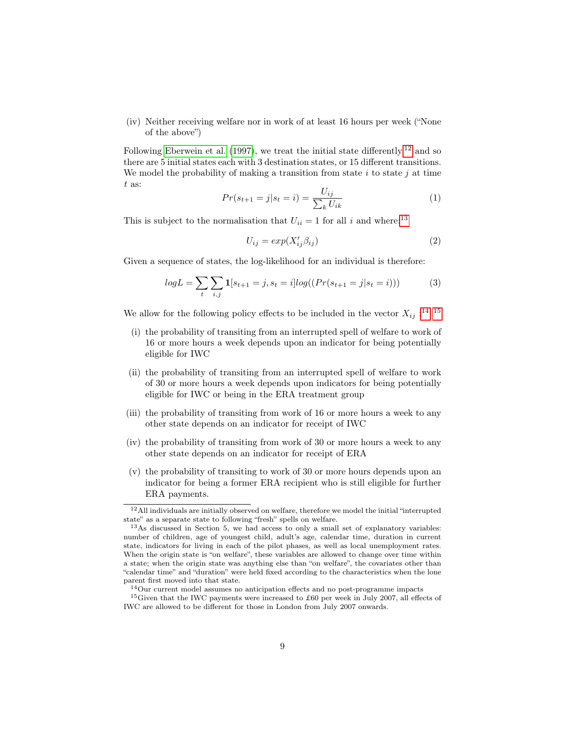(iv) Neither receiving welfare nor in work of at least 16 hours per week ("None of the above")

Following [Eberwein et al.](#page-23-12) [\(1997\)](#page-23-12), we treat the initial state differently,  $12$  and so there are 5 initial states each with 3 destination states, or 15 different transitions. We model the probability of making a transition from state i to state j at time t as:

$$
Pr(s_{t+1} = j | s_t = i) = \frac{U_{ij}}{\sum_k U_{ik}} \tag{1}
$$

This is subject to the normalisation that  $U_{ii} = 1$  for all i and where:<sup>[13](#page-8-1)</sup>

$$
U_{ij} = exp(X'_{ij} \beta_{ij})
$$
\n(2)

Given a sequence of states, the log-likelihood for an individual is therefore:

$$
logL = \sum_{t} \sum_{i,j} \mathbf{1}[s_{t+1} = j, s_t = i] log((Pr(s_{t+1} = j | s_t = i)))
$$
\n(3)

We allow for the following policy effects to be included in the vector  $X_{ij}$ :<sup>[14](#page-8-2) [15](#page-8-3)</sup>

- (i) the probability of transiting from an interrupted spell of welfare to work of 16 or more hours a week depends upon an indicator for being potentially eligible for IWC
- (ii) the probability of transiting from an interrupted spell of welfare to work of 30 or more hours a week depends upon indicators for being potentially eligible for IWC or being in the ERA treatment group
- (iii) the probability of transiting from work of 16 or more hours a week to any other state depends on an indicator for receipt of IWC
- (iv) the probability of transiting from work of 30 or more hours a week to any other state depends on an indicator for receipt of ERA
- (v) the probability of transiting to work of 30 or more hours depends upon an indicator for being a former ERA recipient who is still eligible for further ERA payments.

<span id="page-8-0"></span><sup>&</sup>lt;sup>12</sup>All individuals are initially observed on welfare, therefore we model the initial "interrupted state" as a separate state to following "fresh" spells on welfare.

<span id="page-8-1"></span><sup>13</sup>As discussed in Section 5, we had access to only a small set of explanatory variables: number of children, age of youngest child, adult's age, calendar time, duration in current state, indicators for living in each of the pilot phases, as well as local unemployment rates. When the origin state is "on welfare", these variables are allowed to change over time within a state; when the origin state was anything else than "on welfare", the covariates other than "calendar time" and "duration" were held fixed according to the characteristics when the lone parent first moved into that state.

<span id="page-8-3"></span><span id="page-8-2"></span> $\rm ^{14}Our$  current model assumes no anticipation effects and no post-programme impacts

<sup>15</sup>Given that the IWC payments were increased to £60 per week in July 2007, all effects of IWC are allowed to be different for those in London from July 2007 onwards.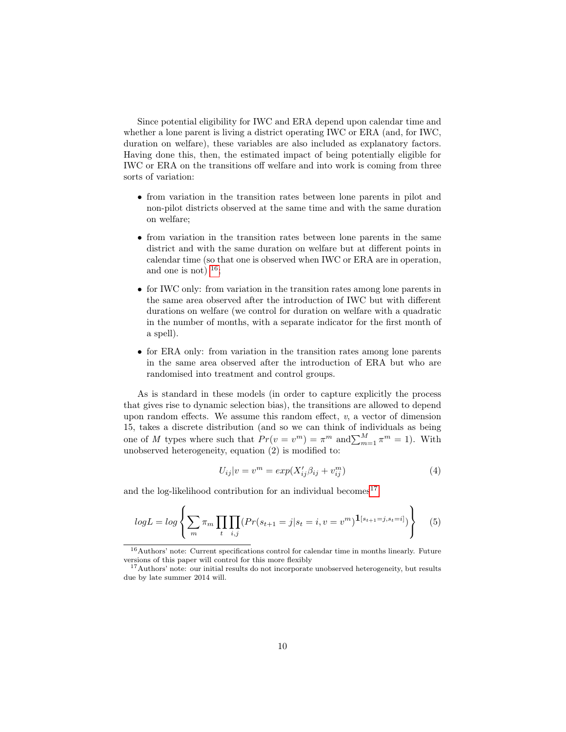Since potential eligibility for IWC and ERA depend upon calendar time and whether a lone parent is living a district operating IWC or ERA (and, for IWC, duration on welfare), these variables are also included as explanatory factors. Having done this, then, the estimated impact of being potentially eligible for IWC or ERA on the transitions off welfare and into work is coming from three sorts of variation:

- from variation in the transition rates between lone parents in pilot and non-pilot districts observed at the same time and with the same duration on welfare;
- from variation in the transition rates between lone parents in the same district and with the same duration on welfare but at different points in calendar time (so that one is observed when IWC or ERA are in operation, and one is not)  $^{16}$  $^{16}$  $^{16}$ ;
- for IWC only: from variation in the transition rates among lone parents in the same area observed after the introduction of IWC but with different durations on welfare (we control for duration on welfare with a quadratic in the number of months, with a separate indicator for the first month of a spell).
- for ERA only: from variation in the transition rates among lone parents in the same area observed after the introduction of ERA but who are randomised into treatment and control groups.

As is standard in these models (in order to capture explicitly the process that gives rise to dynamic selection bias), the transitions are allowed to depend upon random effects. We assume this random effect,  $v$ , a vector of dimension 15, takes a discrete distribution (and so we can think of individuals as being one of M types where such that  $Pr(v = v^m) = \pi^m$  and  $\sum_{m=1}^{M} \pi^m = 1$ ). With unobserved heterogeneity, equation (2) is modified to:

$$
U_{ij}|v = v^m = exp(X'_{ij}\beta_{ij} + v^m_{ij})
$$
\n<sup>(4)</sup>

and the log-likelihood contribution for an individual becomes  $17$ :

$$
logL = log \left\{ \sum_{m} \pi_{m} \prod_{t} \prod_{i,j} (Pr(s_{t+1} = j | s_{t} = i, v = v^{m}) \mathbf{1}_{[s_{t+1} = j, s_{t} = i]} ) \right\}
$$
(5)

<span id="page-9-0"></span> $^{16}\mbox{Authors' note: Current specifications control for calendar time in months linearly. Future}$ versions of this paper will control for this more flexibly

<span id="page-9-1"></span><sup>&</sup>lt;sup>17</sup>Authors' note: our initial results do not incorporate unobserved heterogeneity, but results due by late summer 2014 will.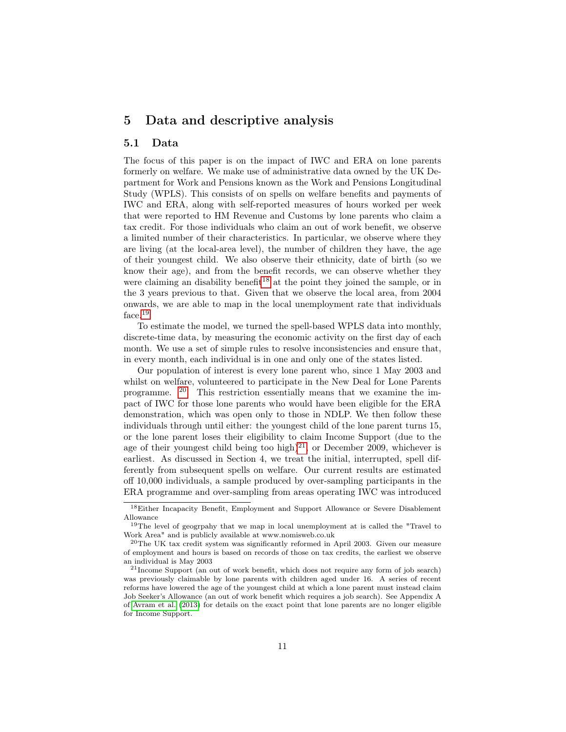# 5 Data and descriptive analysis

#### 5.1 Data

The focus of this paper is on the impact of IWC and ERA on lone parents formerly on welfare. We make use of administrative data owned by the UK Department for Work and Pensions known as the Work and Pensions Longitudinal Study (WPLS). This consists of on spells on welfare benefits and payments of IWC and ERA, along with self-reported measures of hours worked per week that were reported to HM Revenue and Customs by lone parents who claim a tax credit. For those individuals who claim an out of work benefit, we observe a limited number of their characteristics. In particular, we observe where they are living (at the local-area level), the number of children they have, the age of their youngest child. We also observe their ethnicity, date of birth (so we know their age), and from the benefit records, we can observe whether they were claiming an disability benefit<sup>[18](#page-10-0)</sup> at the point they joined the sample, or in the 3 years previous to that. Given that we observe the local area, from 2004 onwards, we are able to map in the local unemployment rate that individuals face.[19](#page-10-1)

To estimate the model, we turned the spell-based WPLS data into monthly, discrete-time data, by measuring the economic activity on the first day of each month. We use a set of simple rules to resolve inconsistencies and ensure that, in every month, each individual is in one and only one of the states listed.

Our population of interest is every lone parent who, since 1 May 2003 and whilst on welfare, volunteered to participate in the New Deal for Lone Parents programme.  $20$ . This restriction essentially means that we examine the impact of IWC for those lone parents who would have been eligible for the ERA demonstration, which was open only to those in NDLP. We then follow these individuals through until either: the youngest child of the lone parent turns 15, or the lone parent loses their eligibility to claim Income Support (due to the age of their youngest child being too high)<sup>[21](#page-10-3)</sup>, or December 2009, whichever is earliest. As discussed in Section 4, we treat the initial, interrupted, spell differently from subsequent spells on welfare. Our current results are estimated off 10,000 individuals, a sample produced by over-sampling participants in the ERA programme and over-sampling from areas operating IWC was introduced

<span id="page-10-0"></span><sup>18</sup>Either Incapacity Benefit, Employment and Support Allowance or Severe Disablement Allowance

<span id="page-10-1"></span><sup>19</sup>The level of geogrpahy that we map in local unemployment at is called the "Travel to Work Area" and is publicly available at www.nomisweb.co.uk

<span id="page-10-2"></span><sup>20</sup>The UK tax credit system was significantly reformed in April 2003. Given our measure of employment and hours is based on records of those on tax credits, the earliest we observe an individual is May 2003

<span id="page-10-3"></span> $^{21}{\rm Income~Support}$  (an out of work benefit, which does not require any form of job search) was previously claimable by lone parents with children aged under 16. A series of recent reforms have lowered the age of the youngest child at which a lone parent must instead claim Job Seeker's Allowance (an out of work benefit which requires a job search). See Appendix A of [Avram et al.](#page-22-7) [\(2013\)](#page-22-7) for details on the exact point that lone parents are no longer eligible for Income Support.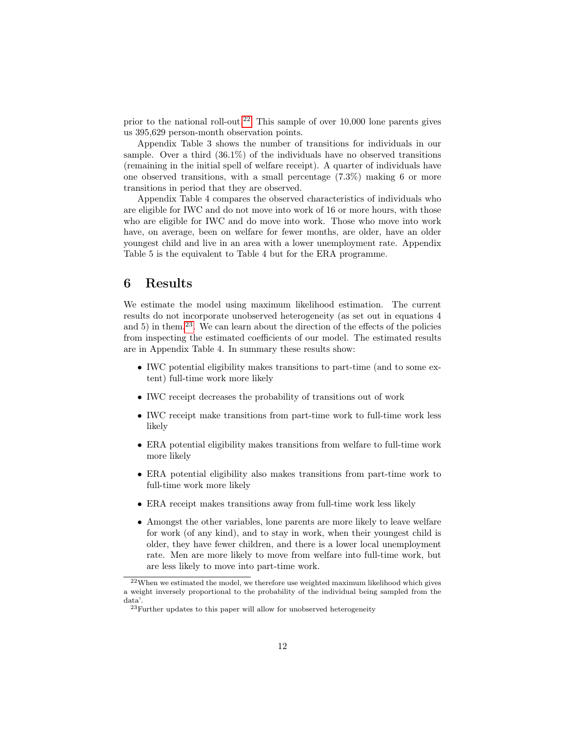prior to the national roll-out.<sup>[22](#page-11-0)</sup> This sample of over  $10,000$  lone parents gives us 395,629 person-month observation points.

Appendix Table 3 shows the number of transitions for individuals in our sample. Over a third  $(36.1\%)$  of the individuals have no observed transitions (remaining in the initial spell of welfare receipt). A quarter of individuals have one observed transitions, with a small percentage (7.3%) making 6 or more transitions in period that they are observed.

Appendix Table 4 compares the observed characteristics of individuals who are eligible for IWC and do not move into work of 16 or more hours, with those who are eligible for IWC and do move into work. Those who move into work have, on average, been on welfare for fewer months, are older, have an older youngest child and live in an area with a lower unemployment rate. Appendix Table 5 is the equivalent to Table 4 but for the ERA programme.

### 6 Results

We estimate the model using maximum likelihood estimation. The current results do not incorporate unobserved heterogeneity (as set out in equations 4 and 5) in them.<sup>[23](#page-11-1)</sup>. We can learn about the direction of the effects of the policies from inspecting the estimated coefficients of our model. The estimated results are in Appendix Table 4. In summary these results show:

- IWC potential eligibility makes transitions to part-time (and to some extent) full-time work more likely
- IWC receipt decreases the probability of transitions out of work
- IWC receipt make transitions from part-time work to full-time work less likely
- ERA potential eligibility makes transitions from welfare to full-time work more likely
- ERA potential eligibility also makes transitions from part-time work to full-time work more likely
- ERA receipt makes transitions away from full-time work less likely
- Amongst the other variables, lone parents are more likely to leave welfare for work (of any kind), and to stay in work, when their youngest child is older, they have fewer children, and there is a lower local unemployment rate. Men are more likely to move from welfare into full-time work, but are less likely to move into part-time work.

<span id="page-11-0"></span> $^{22}\rm{W}$ estimated the model, we therefore use weighted maximum likelihood which gives a weight inversely proportional to the probability of the individual being sampled from the data'.

<span id="page-11-1"></span> $^{23}\rm{Further}$  updates to this paper will allow for unobserved heterogeneity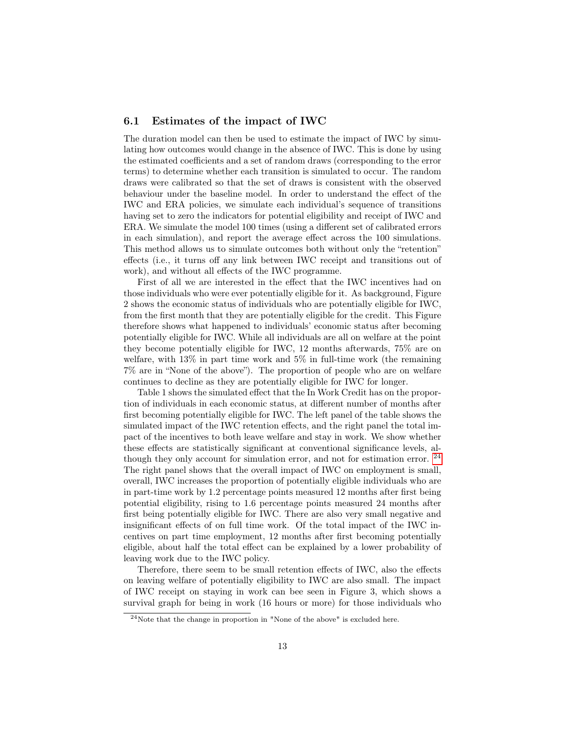#### 6.1 Estimates of the impact of IWC

The duration model can then be used to estimate the impact of IWC by simulating how outcomes would change in the absence of IWC. This is done by using the estimated coefficients and a set of random draws (corresponding to the error terms) to determine whether each transition is simulated to occur. The random draws were calibrated so that the set of draws is consistent with the observed behaviour under the baseline model. In order to understand the effect of the IWC and ERA policies, we simulate each individual's sequence of transitions having set to zero the indicators for potential eligibility and receipt of IWC and ERA. We simulate the model 100 times (using a different set of calibrated errors in each simulation), and report the average effect across the 100 simulations. This method allows us to simulate outcomes both without only the "retention" effects (i.e., it turns off any link between IWC receipt and transitions out of work), and without all effects of the IWC programme.

First of all we are interested in the effect that the IWC incentives had on those individuals who were ever potentially eligible for it. As background, Figure 2 shows the economic status of individuals who are potentially eligible for IWC, from the first month that they are potentially eligible for the credit. This Figure therefore shows what happened to individuals' economic status after becoming potentially eligible for IWC. While all individuals are all on welfare at the point they become potentially eligible for IWC, 12 months afterwards, 75% are on welfare, with 13% in part time work and 5% in full-time work (the remaining 7% are in "None of the above"). The proportion of people who are on welfare continues to decline as they are potentially eligible for IWC for longer.

Table 1 shows the simulated effect that the In Work Credit has on the proportion of individuals in each economic status, at different number of months after first becoming potentially eligible for IWC. The left panel of the table shows the simulated impact of the IWC retention effects, and the right panel the total impact of the incentives to both leave welfare and stay in work. We show whether these effects are statistically significant at conventional significance levels, although they only account for simulation error, and not for estimation error.  $^{24}$  $^{24}$  $^{24}$ The right panel shows that the overall impact of IWC on employment is small, overall, IWC increases the proportion of potentially eligible individuals who are in part-time work by 1.2 percentage points measured 12 months after first being potential eligibility, rising to 1.6 percentage points measured 24 months after first being potentially eligible for IWC. There are also very small negative and insignificant effects of on full time work. Of the total impact of the IWC incentives on part time employment, 12 months after first becoming potentially eligible, about half the total effect can be explained by a lower probability of leaving work due to the IWC policy.

Therefore, there seem to be small retention effects of IWC, also the effects on leaving welfare of potentially eligibility to IWC are also small. The impact of IWC receipt on staying in work can bee seen in Figure 3, which shows a survival graph for being in work (16 hours or more) for those individuals who

<span id="page-12-0"></span><sup>24</sup>Note that the change in proportion in "None of the above" is excluded here.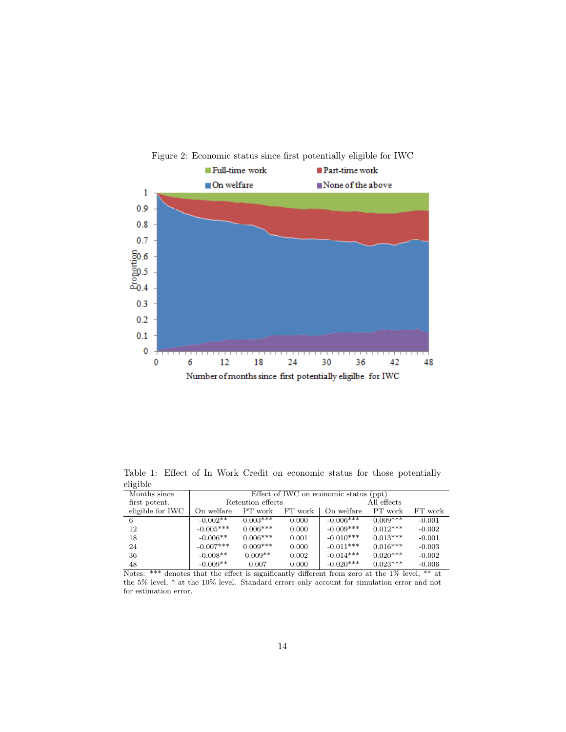

Table 1: Effect of In Work Credit on economic status for those potentially eligible

| All effects            |
|------------------------|
|                        |
|                        |
| FT work<br>PT work     |
| $0.009***$<br>$-0.001$ |
| $0.012***$<br>$-0.002$ |
| $0.013***$<br>$-0.001$ |
| $0.016***$<br>$-0.003$ |
| $0.020***$<br>$-0.002$ |
| $0.023***$<br>$-0.006$ |
|                        |

Notes: \*\*\* denotes that the effect is significantly different from zero at the 1% level, \*\* at the 5% level, \* at the 10% level. Standard errors only account for simulation error and not for estimation error.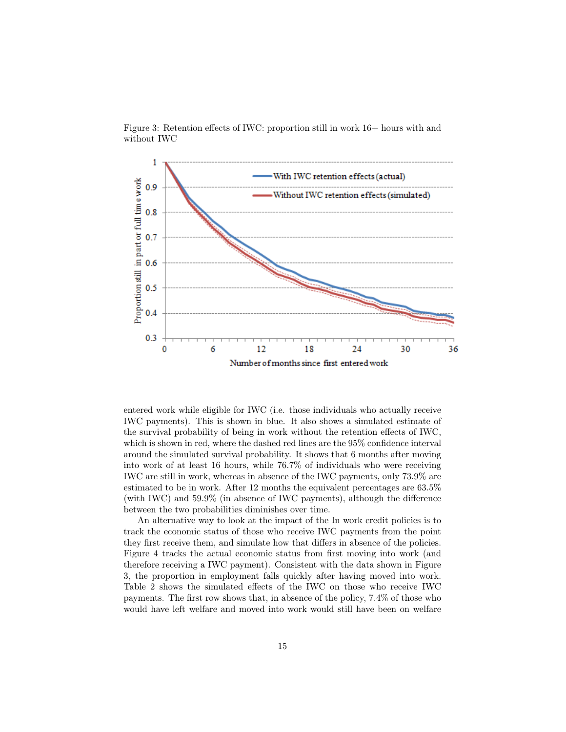

Figure 3: Retention effects of IWC: proportion still in work  $16+$  hours with and without IWC

entered work while eligible for IWC (i.e. those individuals who actually receive IWC payments). This is shown in blue. It also shows a simulated estimate of the survival probability of being in work without the retention effects of IWC, which is shown in red, where the dashed red lines are the 95% confidence interval around the simulated survival probability. It shows that 6 months after moving into work of at least 16 hours, while 76.7% of individuals who were receiving IWC are still in work, whereas in absence of the IWC payments, only 73.9% are estimated to be in work. After 12 months the equivalent percentages are 63.5% (with IWC) and 59.9% (in absence of IWC payments), although the difference between the two probabilities diminishes over time.

An alternative way to look at the impact of the In work credit policies is to track the economic status of those who receive IWC payments from the point they first receive them, and simulate how that differs in absence of the policies. Figure 4 tracks the actual economic status from first moving into work (and therefore receiving a IWC payment). Consistent with the data shown in Figure 3, the proportion in employment falls quickly after having moved into work. Table 2 shows the simulated effects of the IWC on those who receive IWC payments. The first row shows that, in absence of the policy, 7.4% of those who would have left welfare and moved into work would still have been on welfare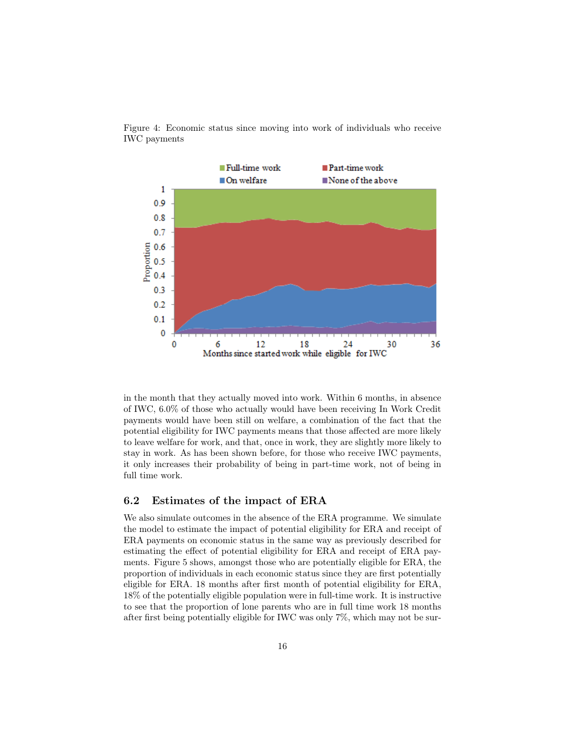

Figure 4: Economic status since moving into work of individuals who receive IWC payments

in the month that they actually moved into work. Within 6 months, in absence of IWC, 6.0% of those who actually would have been receiving In Work Credit payments would have been still on welfare, a combination of the fact that the potential eligibility for IWC payments means that those affected are more likely to leave welfare for work, and that, once in work, they are slightly more likely to stay in work. As has been shown before, for those who receive IWC payments, it only increases their probability of being in part-time work, not of being in full time work.

#### 6.2 Estimates of the impact of ERA

We also simulate outcomes in the absence of the ERA programme. We simulate the model to estimate the impact of potential eligibility for ERA and receipt of ERA payments on economic status in the same way as previously described for estimating the effect of potential eligibility for ERA and receipt of ERA payments. Figure 5 shows, amongst those who are potentially eligible for ERA, the proportion of individuals in each economic status since they are first potentially eligible for ERA. 18 months after first month of potential eligibility for ERA, 18% of the potentially eligible population were in full-time work. It is instructive to see that the proportion of lone parents who are in full time work 18 months after first being potentially eligible for IWC was only 7%, which may not be sur-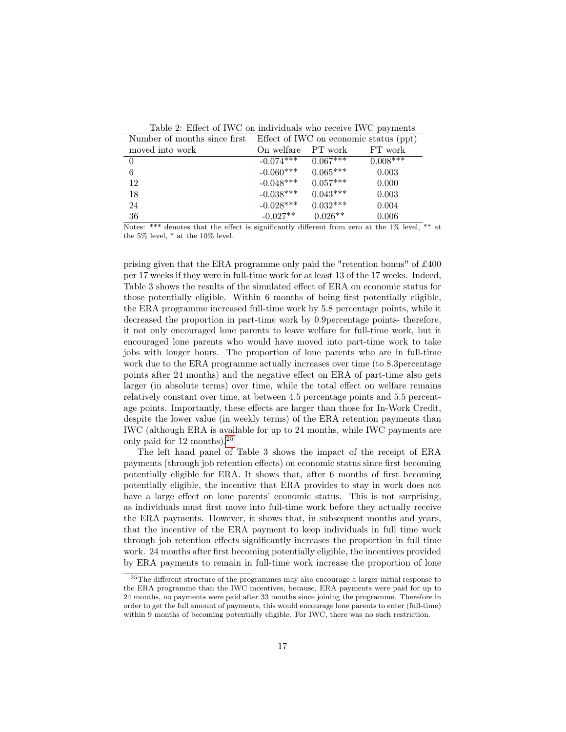| Number of months since first | Effect of IWC on economic status (ppt) |            |            |  |  |
|------------------------------|----------------------------------------|------------|------------|--|--|
| moved into work              | On welfare                             | PT work    | FT work    |  |  |
|                              | $-0.074***$                            | $0.067***$ | $0.008***$ |  |  |
| 6                            | $-0.060***$                            | $0.065***$ | 0.003      |  |  |
| 12                           | $-0.048***$                            | $0.057***$ | 0.000      |  |  |
| 18                           | $-0.038***$                            | $0.043***$ | 0.003      |  |  |
| 24                           | $-0.028***$                            | $0.032***$ | 0.004      |  |  |
| 36                           | $-0.027**$                             | $0.026**$  | 0.006      |  |  |

Table 2: Effect of IWC on individuals who receive IWC payments

Notes: \*\*\* denotes that the effect is significantly different from zero at the 1% level, \*\* at the 5% level, \* at the 10% level.

prising given that the ERA programme only paid the "retention bonus" of £400 per 17 weeks if they were in full-time work for at least 13 of the 17 weeks. Indeed, Table 3 shows the results of the simulated effect of ERA on economic status for those potentially eligible. Within 6 months of being first potentially eligible, the ERA programme increased full-time work by 5.8 percentage points, while it decreased the proportion in part-time work by 0.9percentage points- therefore, it not only encouraged lone parents to leave welfare for full-time work, but it encouraged lone parents who would have moved into part-time work to take jobs with longer hours. The proportion of lone parents who are in full-time work due to the ERA programme actually increases over time (to 8.3percentage points after 24 months) and the negative effect on ERA of part-time also gets larger (in absolute terms) over time, while the total effect on welfare remains relatively constant over time, at between 4.5 percentage points and 5.5 percentage points. Importantly, these effects are larger than those for In-Work Credit, despite the lower value (in weekly terms) of the ERA retention payments than IWC (although ERA is available for up to 24 months, while IWC payments are only paid for 12 months).[25](#page-16-0)

The left hand panel of Table 3 shows the impact of the receipt of ERA payments (through job retention effects) on economic status since first becoming potentially eligible for ERA. It shows that, after 6 months of first becoming potentially eligible, the incentive that ERA provides to stay in work does not have a large effect on lone parents' economic status. This is not surprising, as individuals must first move into full-time work before they actually receive the ERA payments. However, it shows that, in subsequent months and years, that the incentive of the ERA payment to keep individuals in full time work through job retention effects significantly increases the proportion in full time work. 24 months after first becoming potentially eligible, the incentives provided by ERA payments to remain in full-time work increase the proportion of lone

<span id="page-16-0"></span><sup>25</sup>The different structure of the programmes may also encourage a larger initial response to the ERA programme than the IWC incentives, because, ERA payments were paid for up to 24 months, no payments were paid after 33 months since joining the programme. Therefore in order to get the full amount of payments, this would encourage lone parents to enter (full-time) within 9 months of becoming potentially eligible. For IWC, there was no such restriction.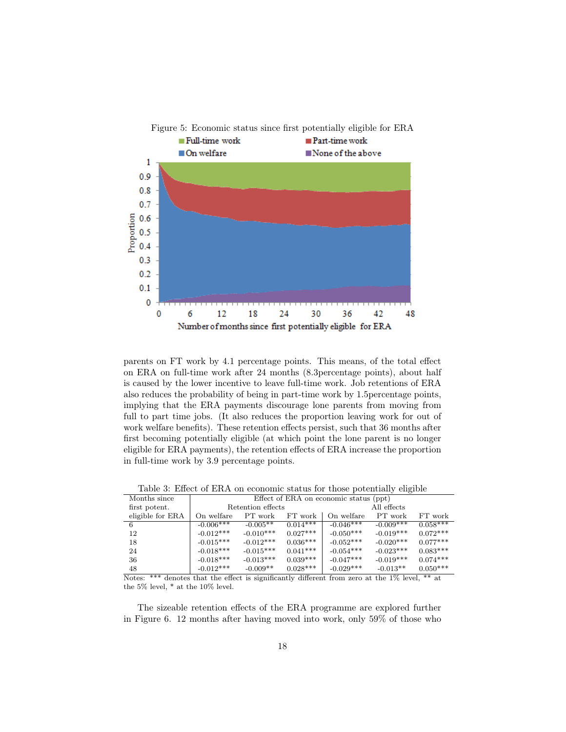

parents on FT work by 4.1 percentage points. This means, of the total effect on ERA on full-time work after 24 months (8.3percentage points), about half is caused by the lower incentive to leave full-time work. Job retentions of ERA also reduces the probability of being in part-time work by 1.5percentage points, implying that the ERA payments discourage lone parents from moving from full to part time jobs. (It also reduces the proportion leaving work for out of work welfare benefits). These retention effects persist, such that 36 months after first becoming potentially eligible (at which point the lone parent is no longer eligible for ERA payments), the retention effects of ERA increase the proportion in full-time work by 3.9 percentage points.

| Months since     |                   | Effect of ERA on economic status (ppt) |             |             |             |            |
|------------------|-------------------|----------------------------------------|-------------|-------------|-------------|------------|
| first potent.    | Retention effects |                                        | All effects |             |             |            |
| eligible for ERA | On welfare        | PT work                                | FT work     | On welfare  | PT work     | FT work    |
| 6                | $-0.006***$       | $-0.005**$                             | $0.014***$  | $-0.046***$ | $-0.009***$ | $0.058***$ |
| 12               | $-0.012***$       | $-0.010***$                            | $0.027***$  | $-0.050***$ | $-0.019***$ | $0.072***$ |
| 18               | $-0.015***$       | $-0.012***$                            | $0.036***$  | $-0.052***$ | $-0.020***$ | $0.077***$ |
| 24               | $-0.018***$       | $-0.015***$                            | $0.041***$  | $-0.054***$ | $-0.023***$ | $0.083***$ |
| 36               | $-0.018***$       | $-0.013***$                            | $0.039***$  | $-0.047***$ | $-0.019***$ | $0.074***$ |
| 48               | $-0.012***$       | $-0.009**$                             | $0.028***$  | $-0.029***$ | $-0.013**$  | $0.050***$ |

Table 3: Effect of ERA on economic status for those potentially eligible

Notes: \*\*\* denotes that the effect is significantly different from zero at the 1% level, \*\* at the 5% level, \* at the 10% level.

The sizeable retention effects of the ERA programme are explored further in Figure 6. 12 months after having moved into work, only 59% of those who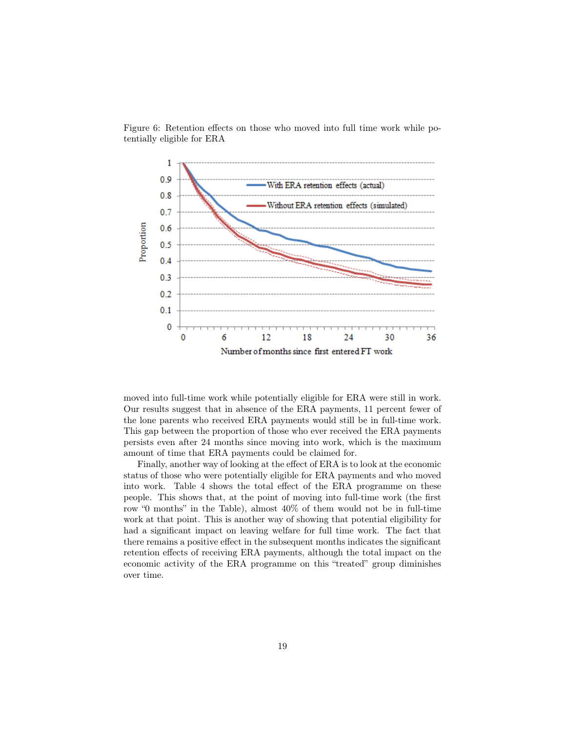

Figure 6: Retention effects on those who moved into full time work while potentially eligible for ERA

moved into full-time work while potentially eligible for ERA were still in work. Our results suggest that in absence of the ERA payments, 11 percent fewer of the lone parents who received ERA payments would still be in full-time work. This gap between the proportion of those who ever received the ERA payments persists even after 24 months since moving into work, which is the maximum amount of time that ERA payments could be claimed for.

Finally, another way of looking at the effect of ERA is to look at the economic status of those who were potentially eligible for ERA payments and who moved into work. Table 4 shows the total effect of the ERA programme on these people. This shows that, at the point of moving into full-time work (the first row "0 months" in the Table), almost 40% of them would not be in full-time work at that point. This is another way of showing that potential eligibility for had a significant impact on leaving welfare for full time work. The fact that there remains a positive effect in the subsequent months indicates the significant retention effects of receiving ERA payments, although the total impact on the economic activity of the ERA programme on this "treated" group diminishes over time.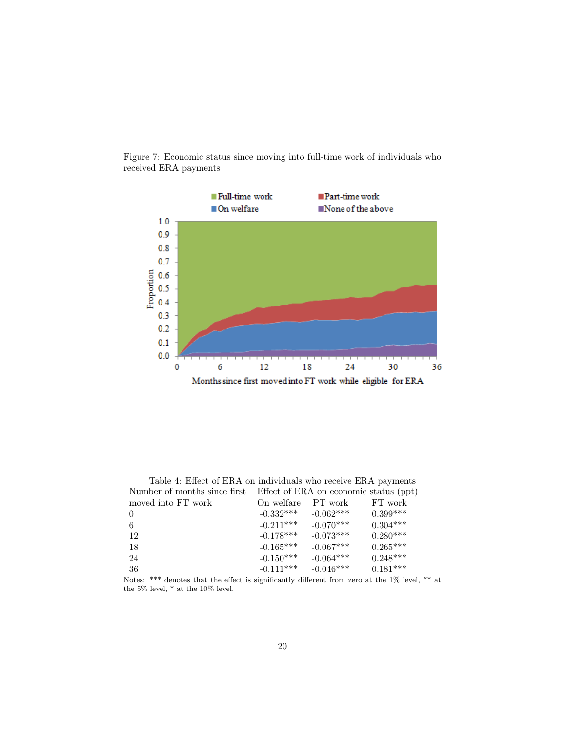

Figure 7: Economic status since moving into full-time work of individuals who received ERA payments

Table 4: Effect of ERA on individuals who receive ERA payments

| Number of months since first. | Effect of ERA on economic status (ppt) |             |               |  |  |
|-------------------------------|----------------------------------------|-------------|---------------|--|--|
| moved into FT work            | On welfare                             | PT work     | FT work       |  |  |
|                               | $-0.332***$                            | $-0.062***$ | $0.399^{***}$ |  |  |
|                               | $-0.211***$                            | $-0.070***$ | $0.304***$    |  |  |
| 12                            | $-0.178***$                            | $-0.073***$ | $0.280***$    |  |  |
| 18                            | $-0.165***$                            | $-0.067***$ | $0.265***$    |  |  |
| 24                            | $-0.150***$                            | $-0.064***$ | $0.248***$    |  |  |
| 36                            | $-0.111***$                            | $-0.046***$ | $0.181***$    |  |  |

Notes: \*\*\* denotes that the effect is significantly different from zero at the 1% level, \*\* at the 5% level,  $^{\ast}$  at the 10% level.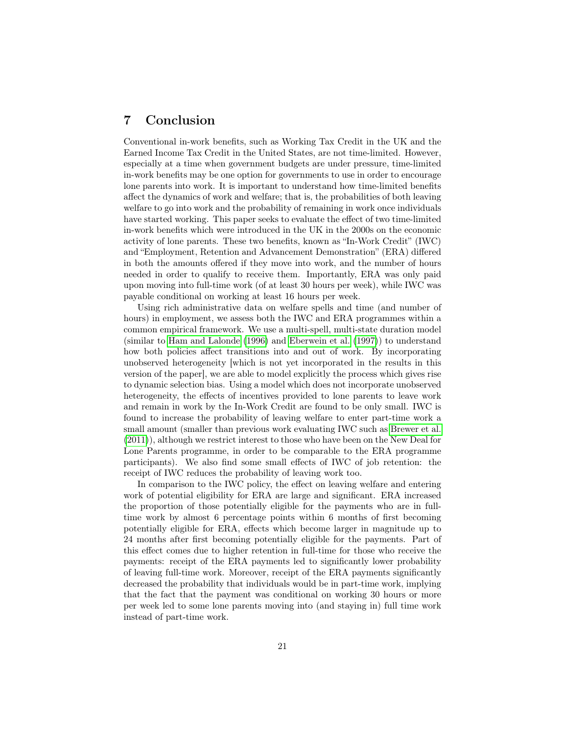# 7 Conclusion

Conventional in-work benefits, such as Working Tax Credit in the UK and the Earned Income Tax Credit in the United States, are not time-limited. However, especially at a time when government budgets are under pressure, time-limited in-work benefits may be one option for governments to use in order to encourage lone parents into work. It is important to understand how time-limited benefits affect the dynamics of work and welfare; that is, the probabilities of both leaving welfare to go into work and the probability of remaining in work once individuals have started working. This paper seeks to evaluate the effect of two time-limited in-work benefits which were introduced in the UK in the 2000s on the economic activity of lone parents. These two benefits, known as "In-Work Credit" (IWC) and "Employment, Retention and Advancement Demonstration" (ERA) differed in both the amounts offered if they move into work, and the number of hours needed in order to qualify to receive them. Importantly, ERA was only paid upon moving into full-time work (of at least 30 hours per week), while IWC was payable conditional on working at least 16 hours per week.

Using rich administrative data on welfare spells and time (and number of hours) in employment, we assess both the IWC and ERA programmes within a common empirical framework. We use a multi-spell, multi-state duration model (similar to [Ham and Lalonde](#page-23-11) [\(1996\)](#page-23-11) and [Eberwein et al.](#page-23-12) [\(1997\)](#page-23-12)) to understand how both policies affect transitions into and out of work. By incorporating unobserved heterogeneity [which is not yet incorporated in the results in this version of the paper], we are able to model explicitly the process which gives rise to dynamic selection bias. Using a model which does not incorporate unobserved heterogeneity, the effects of incentives provided to lone parents to leave work and remain in work by the In-Work Credit are found to be only small. IWC is found to increase the probability of leaving welfare to enter part-time work a small amount (smaller than previous work evaluating IWC such as [Brewer et al.](#page-22-11) [\(2011\)](#page-22-11)), although we restrict interest to those who have been on the New Deal for Lone Parents programme, in order to be comparable to the ERA programme participants). We also find some small effects of IWC of job retention: the receipt of IWC reduces the probability of leaving work too.

In comparison to the IWC policy, the effect on leaving welfare and entering work of potential eligibility for ERA are large and significant. ERA increased the proportion of those potentially eligible for the payments who are in fulltime work by almost 6 percentage points within 6 months of first becoming potentially eligible for ERA, effects which become larger in magnitude up to 24 months after first becoming potentially eligible for the payments. Part of this effect comes due to higher retention in full-time for those who receive the payments: receipt of the ERA payments led to significantly lower probability of leaving full-time work. Moreover, receipt of the ERA payments significantly decreased the probability that individuals would be in part-time work, implying that the fact that the payment was conditional on working 30 hours or more per week led to some lone parents moving into (and staying in) full time work instead of part-time work.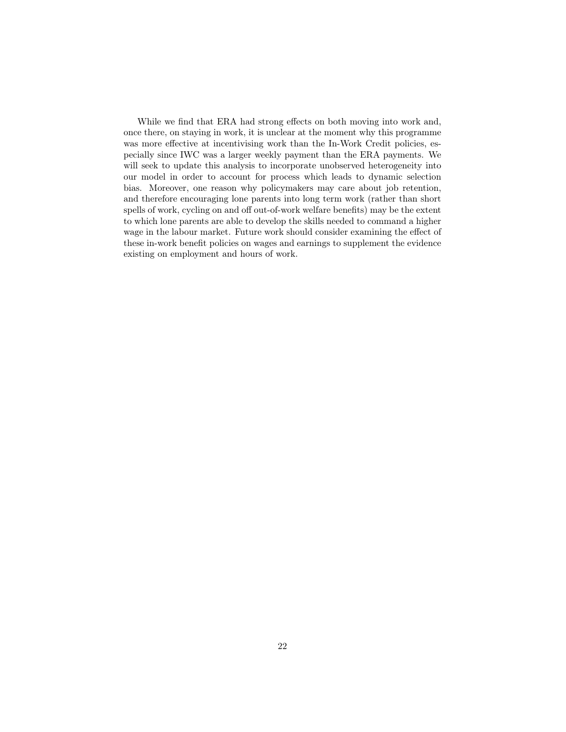While we find that ERA had strong effects on both moving into work and, once there, on staying in work, it is unclear at the moment why this programme was more effective at incentivising work than the In-Work Credit policies, especially since IWC was a larger weekly payment than the ERA payments. We will seek to update this analysis to incorporate unobserved heterogeneity into our model in order to account for process which leads to dynamic selection bias. Moreover, one reason why policymakers may care about job retention, and therefore encouraging lone parents into long term work (rather than short spells of work, cycling on and off out-of-work welfare benefits) may be the extent to which lone parents are able to develop the skills needed to command a higher wage in the labour market. Future work should consider examining the effect of these in-work benefit policies on wages and earnings to supplement the evidence existing on employment and hours of work.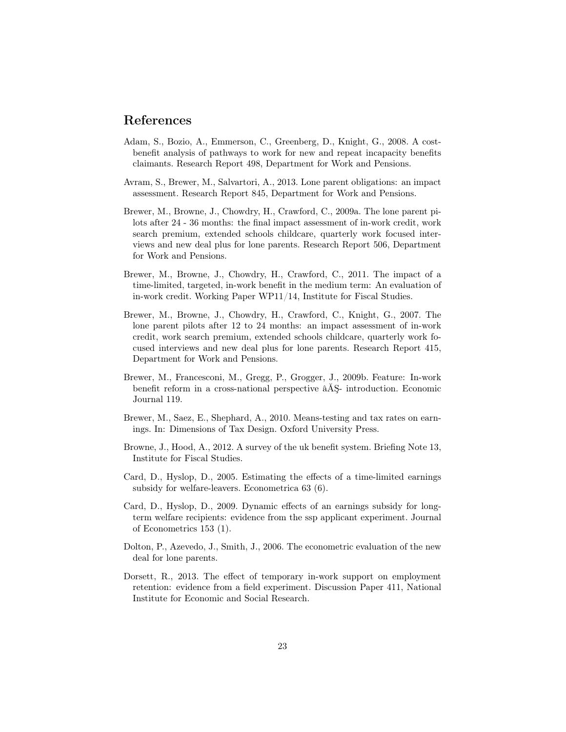### References

- <span id="page-22-9"></span>Adam, S., Bozio, A., Emmerson, C., Greenberg, D., Knight, G., 2008. A costbenefit analysis of pathways to work for new and repeat incapacity benefits claimants. Research Report 498, Department for Work and Pensions.
- <span id="page-22-7"></span>Avram, S., Brewer, M., Salvartori, A., 2013. Lone parent obligations: an impact assessment. Research Report 845, Department for Work and Pensions.
- <span id="page-22-0"></span>Brewer, M., Browne, J., Chowdry, H., Crawford, C., 2009a. The lone parent pilots after 24 - 36 months: the final impact assessment of in-work credit, work search premium, extended schools childcare, quarterly work focused interviews and new deal plus for lone parents. Research Report 506, Department for Work and Pensions.
- <span id="page-22-11"></span>Brewer, M., Browne, J., Chowdry, H., Crawford, C., 2011. The impact of a time-limited, targeted, in-work benefit in the medium term: An evaluation of in-work credit. Working Paper WP11/14, Institute for Fiscal Studies.
- <span id="page-22-5"></span>Brewer, M., Browne, J., Chowdry, H., Crawford, C., Knight, G., 2007. The lone parent pilots after 12 to 24 months: an impact assessment of in-work credit, work search premium, extended schools childcare, quarterly work focused interviews and new deal plus for lone parents. Research Report 415, Department for Work and Pensions.
- <span id="page-22-8"></span>Brewer, M., Francesconi, M., Gregg, P., Grogger, J., 2009b. Feature: In-work benefit reform in a cross-national perspective âĂŞ- introduction. Economic Journal 119.
- <span id="page-22-6"></span>Brewer, M., Saez, E., Shephard, A., 2010. Means-testing and tax rates on earnings. In: Dimensions of Tax Design. Oxford University Press.
- <span id="page-22-4"></span>Browne, J., Hood, A., 2012. A survey of the uk benefit system. Briefing Note 13, Institute for Fiscal Studies.
- <span id="page-22-1"></span>Card, D., Hyslop, D., 2005. Estimating the effects of a time-limited earnings subsidy for welfare-leavers. Econometrica 63 (6).
- <span id="page-22-10"></span>Card, D., Hyslop, D., 2009. Dynamic effects of an earnings subsidy for longterm welfare recipients: evidence from the ssp applicant experiment. Journal of Econometrics 153 (1).
- <span id="page-22-3"></span>Dolton, P., Azevedo, J., Smith, J., 2006. The econometric evaluation of the new deal for lone parents.
- <span id="page-22-2"></span>Dorsett, R., 2013. The effect of temporary in-work support on employment retention: evidence from a field experiment. Discussion Paper 411, National Institute for Economic and Social Research.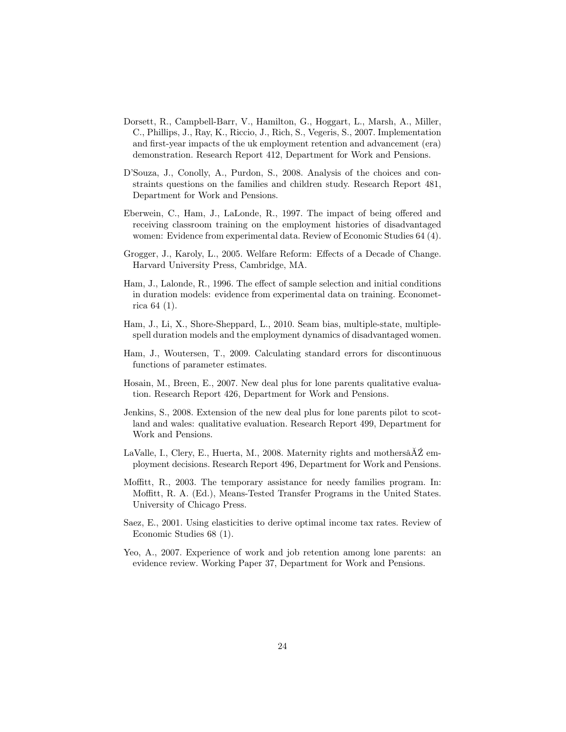- <span id="page-23-4"></span>Dorsett, R., Campbell-Barr, V., Hamilton, G., Hoggart, L., Marsh, A., Miller, C., Phillips, J., Ray, K., Riccio, J., Rich, S., Vegeris, S., 2007. Implementation and first-year impacts of the uk employment retention and advancement (era) demonstration. Research Report 412, Department for Work and Pensions.
- <span id="page-23-9"></span>D'Souza, J., Conolly, A., Purdon, S., 2008. Analysis of the choices and constraints questions on the families and children study. Research Report 481, Department for Work and Pensions.
- <span id="page-23-12"></span>Eberwein, C., Ham, J., LaLonde, R., 1997. The impact of being offered and receiving classroom training on the employment histories of disadvantaged women: Evidence from experimental data. Review of Economic Studies 64 (4).
- <span id="page-23-6"></span>Grogger, J., Karoly, L., 2005. Welfare Reform: Effects of a Decade of Change. Harvard University Press, Cambridge, MA.
- <span id="page-23-11"></span>Ham, J., Lalonde, R., 1996. The effect of sample selection and initial conditions in duration models: evidence from experimental data on training. Econometrica 64 (1).
- <span id="page-23-2"></span>Ham, J., Li, X., Shore-Sheppard, L., 2010. Seam bias, multiple-state, multiplespell duration models and the employment dynamics of disadvantaged women.
- <span id="page-23-3"></span>Ham, J., Woutersen, T., 2009. Calculating standard errors for discontinuous functions of parameter estimates.
- <span id="page-23-0"></span>Hosain, M., Breen, E., 2007. New deal plus for lone parents qualitative evaluation. Research Report 426, Department for Work and Pensions.
- <span id="page-23-1"></span>Jenkins, S., 2008. Extension of the new deal plus for lone parents pilot to scotland and wales: qualitative evaluation. Research Report 499, Department for Work and Pensions.
- <span id="page-23-10"></span>LaValle, I., Clery, E., Huerta, M., 2008. Maternity rights and mothersâĂŹ employment decisions. Research Report 496, Department for Work and Pensions.
- <span id="page-23-7"></span>Moffitt, R., 2003. The temporary assistance for needy families program. In: Moffitt, R. A. (Ed.), Means-Tested Transfer Programs in the United States. University of Chicago Press.
- <span id="page-23-5"></span>Saez, E., 2001. Using elasticities to derive optimal income tax rates. Review of Economic Studies 68 (1).
- <span id="page-23-8"></span>Yeo, A., 2007. Experience of work and job retention among lone parents: an evidence review. Working Paper 37, Department for Work and Pensions.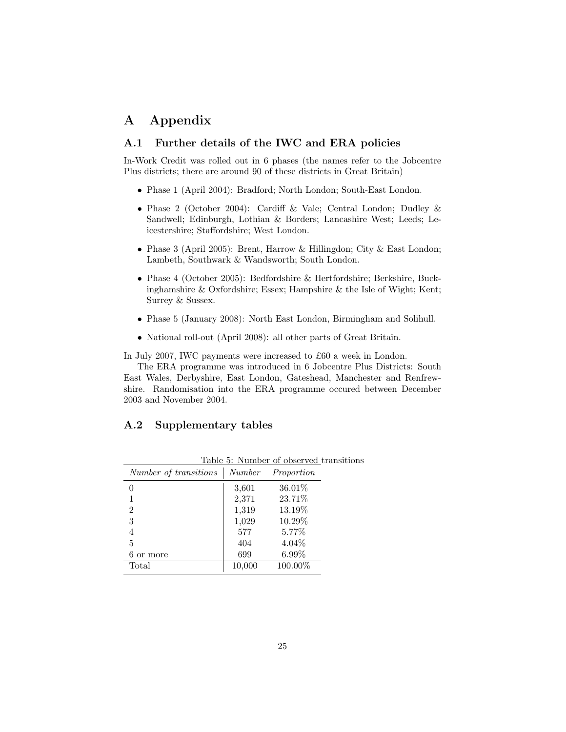# A Appendix

#### A.1 Further details of the IWC and ERA policies

In-Work Credit was rolled out in 6 phases (the names refer to the Jobcentre Plus districts; there are around 90 of these districts in Great Britain)

- Phase 1 (April 2004): Bradford; North London; South-East London.
- Phase 2 (October 2004): Cardiff & Vale; Central London; Dudley & Sandwell; Edinburgh, Lothian & Borders; Lancashire West; Leeds; Leicestershire; Staffordshire; West London.
- Phase 3 (April 2005): Brent, Harrow & Hillingdon; City & East London; Lambeth, Southwark & Wandsworth; South London.
- Phase 4 (October 2005): Bedfordshire & Hertfordshire; Berkshire, Buckinghamshire & Oxfordshire; Essex; Hampshire & the Isle of Wight; Kent; Surrey & Sussex.
- Phase 5 (January 2008): North East London, Birmingham and Solihull.
- National roll-out (April 2008): all other parts of Great Britain.

In July 2007, IWC payments were increased to £60 a week in London.

The ERA programme was introduced in 6 Jobcentre Plus Districts: South East Wales, Derbyshire, East London, Gateshead, Manchester and Renfrewshire. Randomisation into the ERA programme occured between December 2003 and November 2004.

#### A.2 Supplementary tables

|                       |        | Table 3: Number of observed transit |  |
|-----------------------|--------|-------------------------------------|--|
| Number of transitions |        | Number Proportion                   |  |
| 0                     | 3,601  | 36.01%                              |  |
| 1                     | 2,371  | 23.71%                              |  |
| 2                     | 1,319  | 13.19%                              |  |
| 3                     | 1,029  | 10.29%                              |  |
| 4                     | 577    | 5.77%                               |  |
| 5                     | 404    | $4.04\%$                            |  |
| 6 or more             | 699    | 6.99%                               |  |
| Total                 | 10,000 | 100.00%                             |  |
|                       |        |                                     |  |

Table 5: Number of observed transitions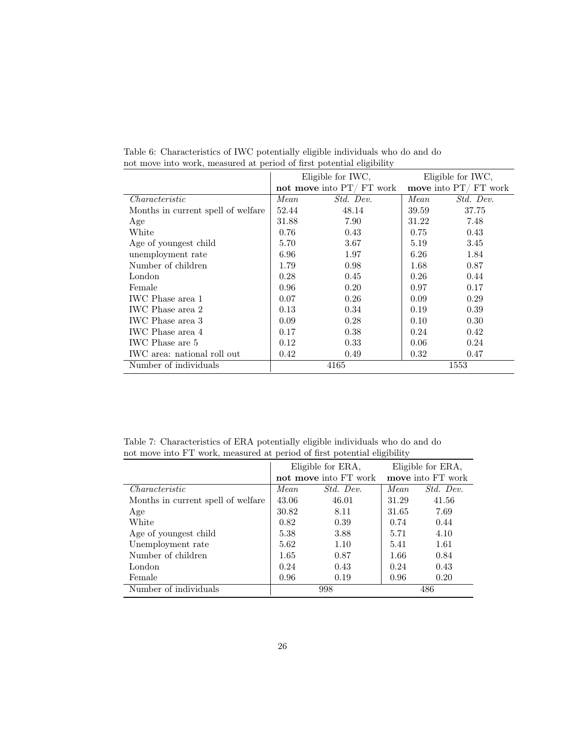|                                    |             | Eligible for IWC,           |       | Eligible for IWC,      |
|------------------------------------|-------------|-----------------------------|-------|------------------------|
|                                    |             | not move into $PT/$ FT work |       | move into $PT/FT$ work |
| Characteristic                     | <i>Mean</i> | Std. Dev.                   | Mean  | Std. Dev.              |
| Months in current spell of welfare | 52.44       | 48.14                       | 39.59 | 37.75                  |
| Age                                | 31.88       | 7.90                        | 31.22 | 7.48                   |
| White                              | 0.76        | 0.43                        | 0.75  | 0.43                   |
| Age of youngest child              | 5.70        | 3.67                        | 5.19  | 3.45                   |
| unemployment rate                  | 6.96        | 1.97                        | 6.26  | 1.84                   |
| Number of children                 | 1.79        | 0.98                        | 1.68  | 0.87                   |
| London                             | 0.28        | 0.45                        | 0.26  | 0.44                   |
| Female                             | 0.96        | 0.20                        | 0.97  | 0.17                   |
| IWC Phase area 1                   | 0.07        | 0.26                        | 0.09  | 0.29                   |
| IWC Phase area 2                   | 0.13        | 0.34                        | 0.19  | 0.39                   |
| IWC Phase area 3                   | 0.09        | 0.28                        | 0.10  | 0.30                   |
| IWC Phase area 4                   | 0.17        | 0.38                        | 0.24  | 0.42                   |
| IWC Phase are 5                    | 0.12        | 0.33                        | 0.06  | 0.24                   |
| IWC area: national roll out        | 0.42        | 0.49                        | 0.32  | 0.47                   |
| Number of individuals              | 4165        |                             | 1553  |                        |

Table 6: Characteristics of IWC potentially eligible individuals who do and do not move into work, measured at period of first potential eligibility

Table 7: Characteristics of ERA potentially eligible individuals who do and do not move into FT work, measured at period of first potential eligibility

|                                    | Eligible for ERA,<br>not move into FT work |           |       | Eligible for ERA,<br>move into FT work |
|------------------------------------|--------------------------------------------|-----------|-------|----------------------------------------|
| Characteristic                     | Mean.                                      | Std. Dev. | Mean. | Std. Dev.                              |
| Months in current spell of welfare | 43.06                                      | 46.01     | 31.29 | 41.56                                  |
| Age                                | 30.82                                      | 8.11      | 31.65 | 7.69                                   |
| White                              | 0.82                                       | 0.39      | 0.74  | 0.44                                   |
| Age of youngest child              | 5.38                                       | 3.88      | 5.71  | 4.10                                   |
| Unemployment rate                  | 5.62                                       | 1.10      | 5.41  | 1.61                                   |
| Number of children                 | 1.65                                       | 0.87      | 1.66  | 0.84                                   |
| London                             | 0.24                                       | 0.43      | 0.24  | 0.43                                   |
| Female                             | 0.96                                       | 0.19      | 0.96  | 0.20                                   |
| Number of individuals              | 998                                        |           |       | 486                                    |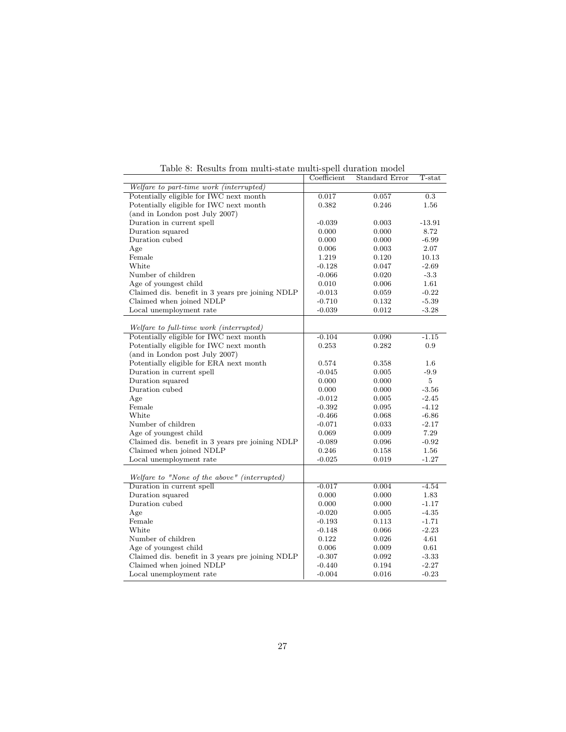|                                                  | Coefficient | Standard Error | $T$ -stat |
|--------------------------------------------------|-------------|----------------|-----------|
| Welfare to part-time work (interrupted)          |             |                |           |
| Potentially eligible for IWC next month          | 0.017       | 0.057          | 0.3       |
| Potentially eligible for IWC next month          | 0.382       | 0.246          | 1.56      |
| (and in London post July 2007)                   |             |                |           |
| Duration in current spell                        | $-0.039$    | 0.003          | $-13.91$  |
| Duration squared                                 | 0.000       | 0.000          | 8.72      |
| Duration cubed                                   | 0.000       | 0.000          | $-6.99$   |
| Age                                              | 0.006       | 0.003          | 2.07      |
| Female                                           | 1.219       | 0.120          | 10.13     |
| White                                            | $-0.128$    | 0.047          | $-2.69$   |
| Number of children                               | $-0.066$    | 0.020          | $-3.3$    |
| Age of youngest child                            | 0.010       | 0.006          | 1.61      |
| Claimed dis. benefit in 3 years pre joining NDLP | $-0.013$    | 0.059          | $-0.22$   |
| Claimed when joined NDLP                         | $-0.710$    | 0.132          | $-5.39$   |
| Local unemployment rate                          | $-0.039$    | 0.012          | $-3.28$   |
|                                                  |             |                |           |
| Welfare to full-time work (interrupted)          |             |                |           |
| Potentially eligible for IWC next month          | $-0.104$    | 0.090          | $-1.15$   |
| Potentially eligible for IWC next month          | 0.253       | 0.282          | 0.9       |
| (and in London post July 2007)                   |             |                |           |
| Potentially eligible for ERA next month          | 0.574       | 0.358          | 1.6       |
| Duration in current spell                        | $-0.045$    | 0.005          | $-9.9$    |
| Duration squared                                 | 0.000       | 0.000          | 5         |
| Duration cubed                                   | 0.000       | 0.000          | $-3.56$   |
| Age                                              | $-0.012$    | 0.005          | $-2.45$   |
| Female                                           | $-0.392$    | 0.095          | $-4.12$   |
| White                                            | $-0.466$    | 0.068          | $-6.86$   |
| Number of children                               | $-0.071$    | 0.033          | $-2.17$   |
| Age of youngest child                            | 0.069       | 0.009          | 7.29      |
| Claimed dis. benefit in 3 years pre joining NDLP | $-0.089$    | 0.096          | $-0.92$   |
| Claimed when joined NDLP                         | 0.246       | 0.158          | 1.56      |
| Local unemployment rate                          | $-0.025$    | 0.019          | $-1.27$   |
|                                                  |             |                |           |
| Welfare to "None of the above" (interrupted)     |             |                |           |
| Duration in current spell                        | $-0.017$    | 0.004          | $-4.54$   |
| Duration squared                                 | 0.000       | 0.000          | 1.83      |
| Duration cubed                                   | 0.000       | 0.000          | $-1.17$   |
| Age                                              | $-0.020$    | 0.005          | $-4.35$   |
| Female                                           | $-0.193$    | 0.113          | $-1.71$   |
| White                                            | $-0.148$    | 0.066          | $-2.23$   |
| Number of children                               | 0.122       | 0.026          | 4.61      |
| Age of youngest child                            | 0.006       | 0.009          | 0.61      |
| Claimed dis. benefit in 3 years pre joining NDLP | $-0.307$    | 0.092          | $-3.33$   |
| Claimed when joined NDLP                         | $-0.440$    | 0.194          | $-2.27$   |
| Local unemployment rate                          | $-0.004$    | 0.016          | $-0.23$   |
|                                                  |             |                |           |

Table 8: Results from multi-state multi-spell duration model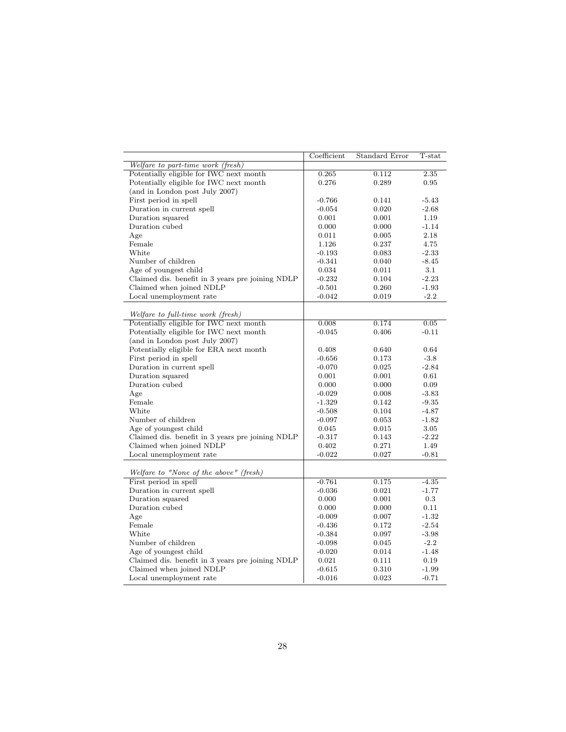|                                                  | Coefficient | Standard Error | T-stat  |
|--------------------------------------------------|-------------|----------------|---------|
| Welfare to part-time work (fresh)                |             |                |         |
| Potentially eligible for IWC next month          | 0.265       | 0.112          | 2.35    |
| Potentially eligible for IWC next month          | 0.276       | 0.289          | 0.95    |
| (and in London post July 2007)                   |             |                |         |
| First period in spell                            | $-0.766$    | 0.141          | $-5.43$ |
| Duration in current spell                        | $-0.054$    | 0.020          | $-2.68$ |
| Duration squared                                 | 0.001       | 0.001          | 1.19    |
| Duration cubed                                   | 0.000       | 0.000          | $-1.14$ |
| Age                                              | 0.011       | 0.005          | 2.18    |
| Female                                           | 1.126       | 0.237          | 4.75    |
| White                                            | $-0.193$    | 0.083          | $-2.33$ |
| Number of children                               | $-0.341$    | 0.040          | $-8.45$ |
| Age of youngest child                            | 0.034       | 0.011          | $3.1\,$ |
| Claimed dis. benefit in 3 years pre joining NDLP | $-0.232$    | 0.104          | $-2.23$ |
| Claimed when joined NDLP                         | $-0.501$    | 0.260          | $-1.93$ |
| Local unemployment rate                          | $-0.042$    | 0.019          | $-2.2$  |
| Welfare to full-time work (fresh)                |             |                |         |
| Potentially eligible for IWC next month          | 0.008       | 0.174          | 0.05    |
| Potentially eligible for IWC next month          | $-0.045$    | 0.406          | $-0.11$ |
| (and in London post July 2007)                   |             |                |         |
| Potentially eligible for ERA next month          | 0.408       | 0.640          | 0.64    |
| First period in spell                            | $-0.656$    | 0.173          | $-3.8$  |
|                                                  |             |                |         |
| Duration in current spell                        | $-0.070$    | 0.025          | $-2.84$ |
| Duration squared                                 | 0.001       | 0.001          | 0.61    |
| Duration cubed                                   | 0.000       | 0.000          | 0.09    |
| Age                                              | $-0.029$    | 0.008          | $-3.83$ |
| Female                                           | $-1.329$    | 0.142          | $-9.35$ |
| White                                            | $-0.508$    | 0.104          | $-4.87$ |
| Number of children                               | $-0.097$    | 0.053          | $-1.82$ |
| Age of youngest child                            | 0.045       | 0.015          | 3.05    |
| Claimed dis. benefit in 3 years pre joining NDLP | $-0.317$    | 0.143          | $-2.22$ |
| Claimed when joined NDLP                         | 0.402       | 0.271          | 1.49    |
| Local unemployment rate                          | $-0.022$    | 0.027          | $-0.81$ |
| Welfare to "None of the above" (fresh)           |             |                |         |
| First period in spell                            | $-0.761$    | 0.175          | $-4.35$ |
| Duration in current spell                        | $-0.036$    | 0.021          | $-1.77$ |
| Duration squared                                 | 0.000       | 0.001          | 0.3     |
| Duration cubed                                   | 0.000       | 0.000          | 0.11    |
| Age                                              | $-0.009$    | 0.007          | $-1.32$ |
| Female                                           | $-0.436$    | 0.172          | $-2.54$ |
| White                                            | $-0.384$    | 0.097          | $-3.98$ |
| Number of children                               | $-0.098$    | 0.045          | $-2.2$  |
| Age of youngest child                            | $-0.020$    | 0.014          | $-1.48$ |
| Claimed dis. benefit in 3 years pre joining NDLP | 0.021       | 0.111          | 0.19    |
| Claimed when joined NDLP                         | $-0.615$    | 0.310          | $-1.99$ |
|                                                  |             |                |         |
| Local unemployment rate                          | $-0.016$    | 0.023          | $-0.71$ |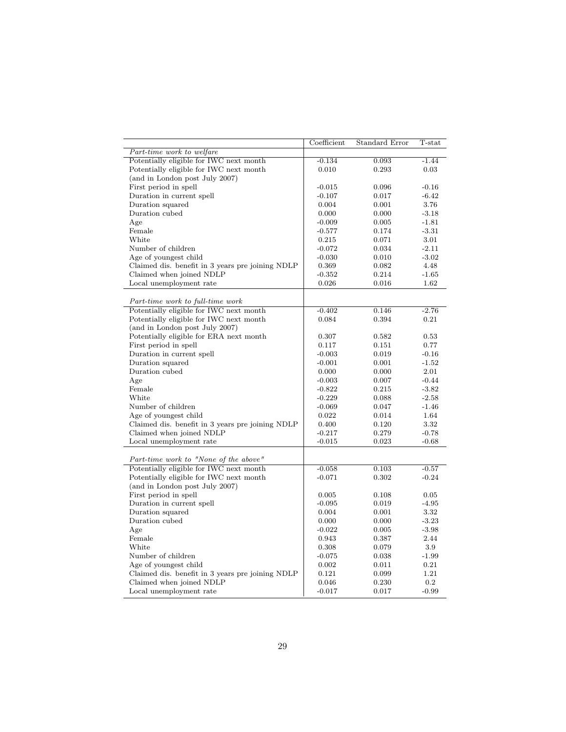|                                                  | Coefficient | Standard Error | $T$ -stat |
|--------------------------------------------------|-------------|----------------|-----------|
| Part-time work to welfare                        |             |                |           |
| Potentially eligible for IWC next month          | $-0.134$    | 0.093          | $-1.44$   |
| Potentially eligible for IWC next month          | 0.010       | 0.293          | 0.03      |
| (and in London post July 2007)                   |             |                |           |
| First period in spell                            | $-0.015$    | 0.096          | $-0.16$   |
| Duration in current spell                        | $-0.107$    | 0.017          | $-6.42$   |
| Duration squared                                 | 0.004       | 0.001          | 3.76      |
| Duration cubed                                   | 0.000       | 0.000          | $-3.18$   |
| Age                                              | $-0.009$    | 0.005          | $-1.81$   |
| Female                                           | $-0.577$    | 0.174          | $-3.31$   |
| White                                            | 0.215       | 0.071          | 3.01      |
| Number of children                               | $-0.072$    | 0.034          | $-2.11$   |
| Age of youngest child                            | $-0.030$    | 0.010          | $-3.02$   |
| Claimed dis. benefit in 3 years pre joining NDLP | 0.369       | 0.082          | 4.48      |
| Claimed when joined NDLP                         | $-0.352$    | 0.214          | $-1.65$   |
| Local unemployment rate                          | 0.026       | 0.016          | 1.62      |
|                                                  |             |                |           |
| Part-time work to full-time work                 |             |                |           |
| Potentially eligible for IWC next month          | $-0.402$    | 0.146          | $-2.76$   |
| Potentially eligible for IWC next month          | 0.084       | 0.394          | 0.21      |
| (and in London post July 2007)                   |             |                |           |
| Potentially eligible for ERA next month          | 0.307       | 0.582          | 0.53      |
| First period in spell                            | 0.117       | 0.151          | 0.77      |
| Duration in current spell                        | $-0.003$    | 0.019          | $-0.16$   |
| Duration squared                                 | $-0.001$    | 0.001          | $-1.52$   |
| Duration cubed                                   | 0.000       | 0.000          | 2.01      |
| Age                                              | $-0.003$    | 0.007          | $-0.44$   |
| Female                                           | $-0.822$    | 0.215          | $-3.82$   |
| White                                            | $-0.229$    | 0.088          | $-2.58$   |
| Number of children                               | $-0.069$    | 0.047          | $-1.46$   |
| Age of youngest child                            | 0.022       | 0.014          | 1.64      |
| Claimed dis. benefit in 3 years pre joining NDLP | 0.400       | 0.120          | 3.32      |
| Claimed when joined NDLP                         | $-0.217$    | 0.279          | $-0.78$   |
| Local unemployment rate                          | $-0.015$    | 0.023          | $-0.68$   |
|                                                  |             |                |           |
| Part-time work to "None of the above"            |             |                |           |
| Potentially eligible for IWC next month          | $-0.058$    | 0.103          | $-0.57$   |
| Potentially eligible for IWC next month          | $-0.071$    | 0.302          | $-0.24$   |
| (and in London post July 2007)                   |             |                |           |
| First period in spell                            | 0.005       | 0.108          | 0.05      |
| Duration in current spell                        | $-0.095$    | 0.019          | $-4.95$   |
| Duration squared                                 | 0.004       | 0.001          | 3.32      |
| Duration cubed                                   | 0.000       | 0.000          | $-3.23$   |
| Age                                              | $-0.022$    | 0.005          | $-3.98$   |
| Female                                           | 0.943       | 0.387          | 2.44      |
| White                                            | 0.308       | 0.079          | 3.9       |
| Number of children                               | $-0.075$    | 0.038          | $-1.99$   |
| Age of youngest child                            | 0.002       | 0.011          | 0.21      |
| Claimed dis. benefit in 3 years pre joining NDLP | 0.121       | 0.099          | 1.21      |
| Claimed when joined NDLP                         |             | 0.230          | 0.2       |
|                                                  | 0.046       |                |           |
| Local unemployment rate                          | $-0.017$    | 0.017          | $-0.99$   |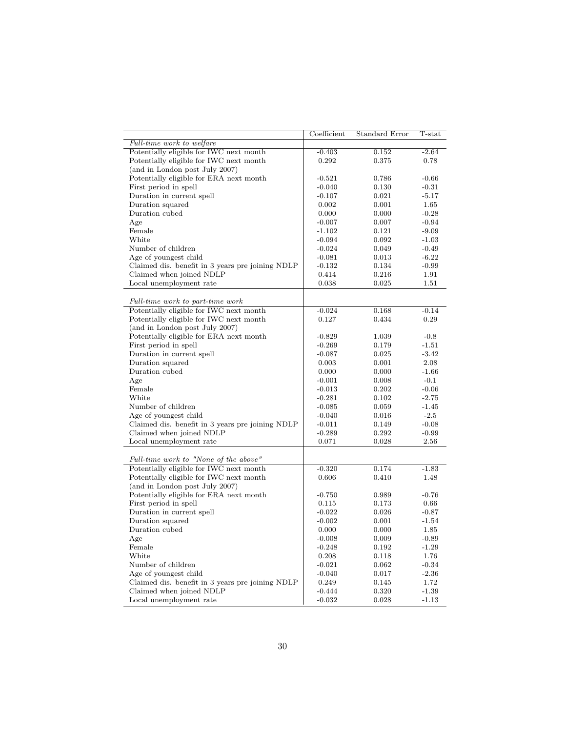|                                                                                    | Coefficient       | Standard Error | T-stat   |
|------------------------------------------------------------------------------------|-------------------|----------------|----------|
| Full-time work to welfare                                                          |                   |                |          |
| Potentially eligible for IWC next month                                            | $-0.403$          | 0.152          | $-2.64$  |
| Potentially eligible for IWC next month                                            | 0.292             | 0.375          | 0.78     |
| (and in London post July 2007)                                                     |                   |                |          |
| Potentially eligible for ERA next month                                            | $-0.521$          | 0.786          | $-0.66$  |
| First period in spell                                                              | $-0.040$          | 0.130          | $-0.31$  |
| Duration in current spell                                                          | $-0.107$          | 0.021          | $-5.17$  |
| Duration squared                                                                   | 0.002             | 0.001          | $1.65\,$ |
| Duration cubed                                                                     | 0.000             | 0.000          | $-0.28$  |
| Age                                                                                | $-0.007$          | 0.007          | $-0.94$  |
| Female                                                                             | $-1.102$          | 0.121          | $-9.09$  |
| White                                                                              | $-0.094$          | 0.092          | $-1.03$  |
| Number of children                                                                 | $-0.024$          | 0.049          | $-0.49$  |
| Age of youngest child                                                              | $-0.081$          | 0.013          | $-6.22$  |
| Claimed dis. benefit in 3 years pre joining NDLP                                   | $-0.132$          | 0.134          | $-0.99$  |
| Claimed when joined NDLP                                                           | 0.414             | 0.216          | 1.91     |
| Local unemployment rate                                                            | 0.038             | 0.025          | 1.51     |
|                                                                                    |                   |                |          |
| Full-time work to part-time work                                                   |                   |                |          |
| Potentially eligible for IWC next month<br>Potentially eligible for IWC next month | $-0.024$<br>0.127 | 0.168          | $-0.14$  |
|                                                                                    |                   | 0.434          | 0.29     |
| (and in London post July 2007)                                                     |                   |                |          |
| Potentially eligible for ERA next month                                            | $-0.829$          | 1.039          | $-0.8$   |
| First period in spell                                                              | $-0.269$          | 0.179          | $-1.51$  |
| Duration in current spell                                                          | $-0.087$          | 0.025          | $-3.42$  |
| Duration squared                                                                   | 0.003             | 0.001          | 2.08     |
| Duration cubed                                                                     | 0.000             | 0.000          | $-1.66$  |
| Age                                                                                | $-0.001$          | 0.008          | $-0.1$   |
| Female                                                                             | $-0.013$          | 0.202          | $-0.06$  |
| White                                                                              | $-0.281$          | 0.102          | $-2.75$  |
| Number of children                                                                 | $-0.085$          | 0.059          | $-1.45$  |
| Age of youngest child                                                              | $-0.040$          | 0.016          | $-2.5$   |
| Claimed dis. benefit in 3 years pre joining NDLP                                   | $-0.011$          | 0.149          | $-0.08$  |
| Claimed when joined NDLP                                                           | $-0.289$          | 0.292          | $-0.99$  |
| Local unemployment rate                                                            | 0.071             | 0.028          | 2.56     |
|                                                                                    |                   |                |          |
| Full-time work to "None of the above"                                              |                   |                |          |
| Potentially eligible for IWC next month                                            | $-0.320$          | 0.174          | $-1.83$  |
| Potentially eligible for IWC next month                                            | 0.606             | 0.410          | 1.48     |
| (and in London post July 2007)                                                     |                   |                |          |
| Potentially eligible for ERA next month                                            | $-0.750$          | 0.989          | $-0.76$  |
| First period in spell                                                              | 0.115             | 0.173          | 0.66     |
| Duration in current spell                                                          | $-0.022$          | 0.026          | $-0.87$  |
| Duration squared                                                                   | $-0.002$          | 0.001          | $-1.54$  |
| Duration cubed                                                                     | 0.000             | 0.000          | 1.85     |
| Age                                                                                | $-0.008$          | 0.009          | $-0.89$  |
| Female                                                                             | $-0.248$          | 0.192          | $-1.29$  |
| White                                                                              | 0.208             | 0.118          | 1.76     |
| Number of children                                                                 | $-0.021$          | 0.062          | $-0.34$  |
| Age of youngest child                                                              | $-0.040$          | 0.017          | $-2.36$  |
| Claimed dis. benefit in 3 years pre joining NDLP                                   | 0.249             | 0.145          | 1.72     |
| Claimed when joined NDLP                                                           | $-0.444$          | 0.320          | $-1.39$  |
| Local unemployment rate                                                            | $-0.032$          | 0.028          | $-1.13$  |